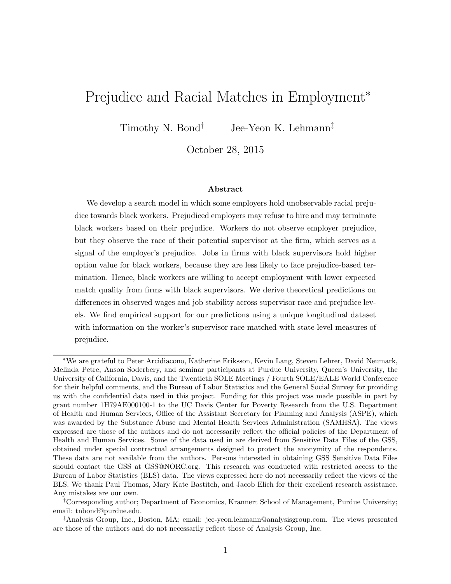# Prejudice and Racial Matches in Employment<sup>∗</sup>

Timothy N. Bond<sup>†</sup> Jee-Yeon K. Lehmann<sup>‡</sup>

October 28, 2015

#### Abstract

We develop a search model in which some employers hold unobservable racial prejudice towards black workers. Prejudiced employers may refuse to hire and may terminate black workers based on their prejudice. Workers do not observe employer prejudice, but they observe the race of their potential supervisor at the firm, which serves as a signal of the employer's prejudice. Jobs in firms with black supervisors hold higher option value for black workers, because they are less likely to face prejudice-based termination. Hence, black workers are willing to accept employment with lower expected match quality from firms with black supervisors. We derive theoretical predictions on differences in observed wages and job stability across supervisor race and prejudice levels. We find empirical support for our predictions using a unique longitudinal dataset with information on the worker's supervisor race matched with state-level measures of prejudice.

<sup>∗</sup>We are grateful to Peter Arcidiacono, Katherine Eriksson, Kevin Lang, Steven Lehrer, David Neumark, Melinda Petre, Anson Soderbery, and seminar participants at Purdue University, Queen's University, the University of California, Davis, and the Twentieth SOLE Meetings / Fourth SOLE/EALE World Conference for their helpful comments, and the Bureau of Labor Statistics and the General Social Survey for providing us with the confidential data used in this project. Funding for this project was made possible in part by grant number 1H79AE000100-1 to the UC Davis Center for Poverty Research from the U.S. Department of Health and Human Services, Office of the Assistant Secretary for Planning and Analysis (ASPE), which was awarded by the Substance Abuse and Mental Health Services Administration (SAMHSA). The views expressed are those of the authors and do not necessarily reflect the official policies of the Department of Health and Human Services. Some of the data used in are derived from Sensitive Data Files of the GSS, obtained under special contractual arrangements designed to protect the anonymity of the respondents. These data are not available from the authors. Persons interested in obtaining GSS Sensitive Data Files should contact the GSS at GSS@NORC.org. This research was conducted with restricted access to the Bureau of Labor Statistics (BLS) data. The views expressed here do not necessarily reflect the views of the BLS. We thank Paul Thomas, Mary Kate Bastitch, and Jacob Elich for their excellent research assistance. Any mistakes are our own.

<sup>†</sup>Corresponding author; Department of Economics, Krannert School of Management, Purdue University; email: tnbond@purdue.edu.

<sup>‡</sup>Analysis Group, Inc., Boston, MA; email: jee-yeon.lehmann@analysisgroup.com. The views presented are those of the authors and do not necessarily reflect those of Analysis Group, Inc.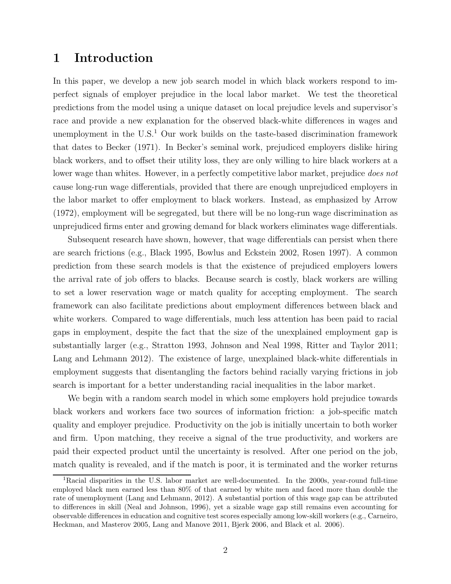# 1 Introduction

In this paper, we develop a new job search model in which black workers respond to imperfect signals of employer prejudice in the local labor market. We test the theoretical predictions from the model using a unique dataset on local prejudice levels and supervisor's race and provide a new explanation for the observed black-white differences in wages and unemployment in the  $U.S.<sup>1</sup>$  Our work builds on the taste-based discrimination framework that dates to Becker (1971). In Becker's seminal work, prejudiced employers dislike hiring black workers, and to offset their utility loss, they are only willing to hire black workers at a lower wage than whites. However, in a perfectly competitive labor market, prejudice *does not* cause long-run wage differentials, provided that there are enough unprejudiced employers in the labor market to offer employment to black workers. Instead, as emphasized by Arrow (1972), employment will be segregated, but there will be no long-run wage discrimination as unprejudiced firms enter and growing demand for black workers eliminates wage differentials.

Subsequent research have shown, however, that wage differentials can persist when there are search frictions (e.g., Black 1995, Bowlus and Eckstein 2002, Rosen 1997). A common prediction from these search models is that the existence of prejudiced employers lowers the arrival rate of job offers to blacks. Because search is costly, black workers are willing to set a lower reservation wage or match quality for accepting employment. The search framework can also facilitate predictions about employment differences between black and white workers. Compared to wage differentials, much less attention has been paid to racial gaps in employment, despite the fact that the size of the unexplained employment gap is substantially larger (e.g., Stratton 1993, Johnson and Neal 1998, Ritter and Taylor 2011; Lang and Lehmann 2012). The existence of large, unexplained black-white differentials in employment suggests that disentangling the factors behind racially varying frictions in job search is important for a better understanding racial inequalities in the labor market.

We begin with a random search model in which some employers hold prejudice towards black workers and workers face two sources of information friction: a job-specific match quality and employer prejudice. Productivity on the job is initially uncertain to both worker and firm. Upon matching, they receive a signal of the true productivity, and workers are paid their expected product until the uncertainty is resolved. After one period on the job, match quality is revealed, and if the match is poor, it is terminated and the worker returns

<sup>&</sup>lt;sup>1</sup>Racial disparities in the U.S. labor market are well-documented. In the 2000s, year-round full-time employed black men earned less than 80% of that earned by white men and faced more than double the rate of unemployment (Lang and Lehmann, 2012). A substantial portion of this wage gap can be attributed to differences in skill (Neal and Johnson, 1996), yet a sizable wage gap still remains even accounting for observable differences in education and cognitive test scores especially among low-skill workers (e.g., Carneiro, Heckman, and Masterov 2005, Lang and Manove 2011, Bjerk 2006, and Black et al. 2006).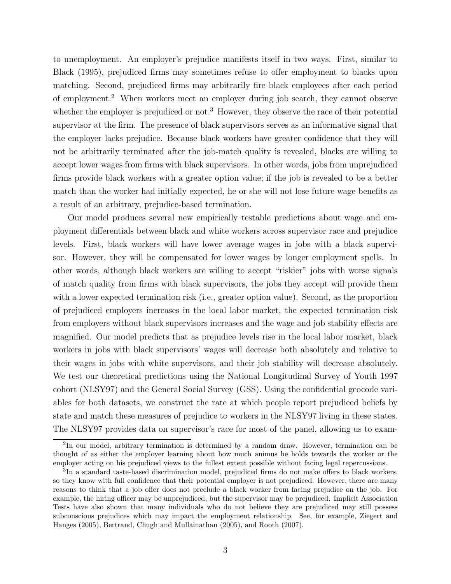to unemployment. An employer's prejudice manifests itself in two ways. First, similar to Black (1995), prejudiced firms may sometimes refuse to offer employment to blacks upon matching. Second, prejudiced firms may arbitrarily fire black employees after each period of employment.<sup>2</sup> When workers meet an employer during job search, they cannot observe whether the employer is prejudiced or not.<sup>3</sup> However, they observe the race of their potential supervisor at the firm. The presence of black supervisors serves as an informative signal that the employer lacks prejudice. Because black workers have greater confidence that they will not be arbitrarily terminated after the job-match quality is revealed, blacks are willing to accept lower wages from firms with black supervisors. In other words, jobs from unprejudiced firms provide black workers with a greater option value; if the job is revealed to be a better match than the worker had initially expected, he or she will not lose future wage benefits as a result of an arbitrary, prejudice-based termination.

Our model produces several new empirically testable predictions about wage and employment differentials between black and white workers across supervisor race and prejudice levels. First, black workers will have lower average wages in jobs with a black supervisor. However, they will be compensated for lower wages by longer employment spells. In other words, although black workers are willing to accept "riskier" jobs with worse signals of match quality from firms with black supervisors, the jobs they accept will provide them with a lower expected termination risk (i.e., greater option value). Second, as the proportion of prejudiced employers increases in the local labor market, the expected termination risk from employers without black supervisors increases and the wage and job stability effects are magnified. Our model predicts that as prejudice levels rise in the local labor market, black workers in jobs with black supervisors' wages will decrease both absolutely and relative to their wages in jobs with white supervisors, and their job stability will decrease absolutely. We test our theoretical predictions using the National Longitudinal Survey of Youth 1997 cohort (NLSY97) and the General Social Survey (GSS). Using the confidential geocode variables for both datasets, we construct the rate at which people report prejudiced beliefs by state and match these measures of prejudice to workers in the NLSY97 living in these states. The NLSY97 provides data on supervisor's race for most of the panel, allowing us to exam-

<sup>&</sup>lt;sup>2</sup>In our model, arbitrary termination is determined by a random draw. However, termination can be thought of as either the employer learning about how much animus he holds towards the worker or the employer acting on his prejudiced views to the fullest extent possible without facing legal repercussions.

<sup>3</sup> In a standard taste-based discrimination model, prejudiced firms do not make offers to black workers, so they know with full confidence that their potential employer is not prejudiced. However, there are many reasons to think that a job offer does not preclude a black worker from facing prejudice on the job. For example, the hiring officer may be unprejudiced, but the supervisor may be prejudiced. Implicit Association Tests have also shown that many individuals who do not believe they are prejudiced may still possess subconscious prejudices which may impact the employment relationship. See, for example, Ziegert and Hanges (2005), Bertrand, Chugh and Mullainathan (2005), and Rooth (2007).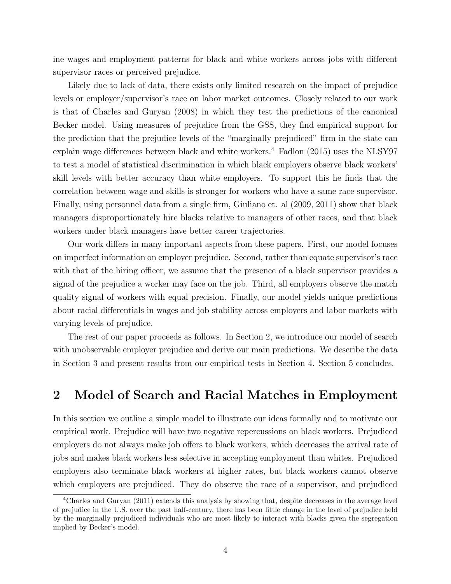ine wages and employment patterns for black and white workers across jobs with different supervisor races or perceived prejudice.

Likely due to lack of data, there exists only limited research on the impact of prejudice levels or employer/supervisor's race on labor market outcomes. Closely related to our work is that of Charles and Guryan (2008) in which they test the predictions of the canonical Becker model. Using measures of prejudice from the GSS, they find empirical support for the prediction that the prejudice levels of the "marginally prejudiced" firm in the state can explain wage differences between black and white workers.<sup>4</sup> Fadlon (2015) uses the NLSY97 to test a model of statistical discrimination in which black employers observe black workers' skill levels with better accuracy than white employers. To support this he finds that the correlation between wage and skills is stronger for workers who have a same race supervisor. Finally, using personnel data from a single firm, Giuliano et. al (2009, 2011) show that black managers disproportionately hire blacks relative to managers of other races, and that black workers under black managers have better career trajectories.

Our work differs in many important aspects from these papers. First, our model focuses on imperfect information on employer prejudice. Second, rather than equate supervisor's race with that of the hiring officer, we assume that the presence of a black supervisor provides a signal of the prejudice a worker may face on the job. Third, all employers observe the match quality signal of workers with equal precision. Finally, our model yields unique predictions about racial differentials in wages and job stability across employers and labor markets with varying levels of prejudice.

The rest of our paper proceeds as follows. In Section 2, we introduce our model of search with unobservable employer prejudice and derive our main predictions. We describe the data in Section 3 and present results from our empirical tests in Section 4. Section 5 concludes.

# 2 Model of Search and Racial Matches in Employment

In this section we outline a simple model to illustrate our ideas formally and to motivate our empirical work. Prejudice will have two negative repercussions on black workers. Prejudiced employers do not always make job offers to black workers, which decreases the arrival rate of jobs and makes black workers less selective in accepting employment than whites. Prejudiced employers also terminate black workers at higher rates, but black workers cannot observe which employers are prejudiced. They do observe the race of a supervisor, and prejudiced

<sup>4</sup>Charles and Guryan (2011) extends this analysis by showing that, despite decreases in the average level of prejudice in the U.S. over the past half-century, there has been little change in the level of prejudice held by the marginally prejudiced individuals who are most likely to interact with blacks given the segregation implied by Becker's model.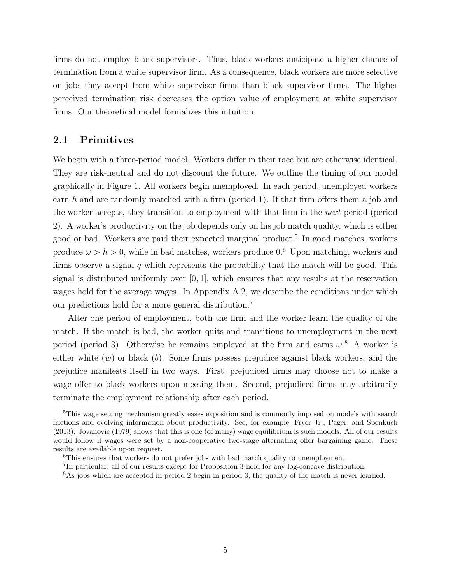firms do not employ black supervisors. Thus, black workers anticipate a higher chance of termination from a white supervisor firm. As a consequence, black workers are more selective on jobs they accept from white supervisor firms than black supervisor firms. The higher perceived termination risk decreases the option value of employment at white supervisor firms. Our theoretical model formalizes this intuition.

## 2.1 Primitives

We begin with a three-period model. Workers differ in their race but are otherwise identical. They are risk-neutral and do not discount the future. We outline the timing of our model graphically in Figure 1. All workers begin unemployed. In each period, unemployed workers earn  $h$  and are randomly matched with a firm (period 1). If that firm offers them a job and the worker accepts, they transition to employment with that firm in the next period (period 2). A worker's productivity on the job depends only on his job match quality, which is either good or bad. Workers are paid their expected marginal product.<sup>5</sup> In good matches, workers produce  $\omega > h > 0$ , while in bad matches, workers produce 0.<sup>6</sup> Upon matching, workers and firms observe a signal  $q$  which represents the probability that the match will be good. This signal is distributed uniformly over  $[0, 1]$ , which ensures that any results at the reservation wages hold for the average wages. In Appendix A.2, we describe the conditions under which our predictions hold for a more general distribution.<sup>7</sup>

After one period of employment, both the firm and the worker learn the quality of the match. If the match is bad, the worker quits and transitions to unemployment in the next period (period 3). Otherwise he remains employed at the firm and earns  $\omega$ .<sup>8</sup> A worker is either white  $(w)$  or black  $(b)$ . Some firms possess prejudice against black workers, and the prejudice manifests itself in two ways. First, prejudiced firms may choose not to make a wage offer to black workers upon meeting them. Second, prejudiced firms may arbitrarily terminate the employment relationship after each period.

<sup>5</sup>This wage setting mechanism greatly eases exposition and is commonly imposed on models with search frictions and evolving information about productivity. See, for example, Fryer Jr., Pager, and Spenkuch (2013). Jovanovic (1979) shows that this is one (of many) wage equilibrium is such models. All of our results would follow if wages were set by a non-cooperative two-stage alternating offer bargaining game. These results are available upon request.

<sup>6</sup>This ensures that workers do not prefer jobs with bad match quality to unemployment.

<sup>7</sup> In particular, all of our results except for Proposition 3 hold for any log-concave distribution.

<sup>&</sup>lt;sup>8</sup>As jobs which are accepted in period 2 begin in period 3, the quality of the match is never learned.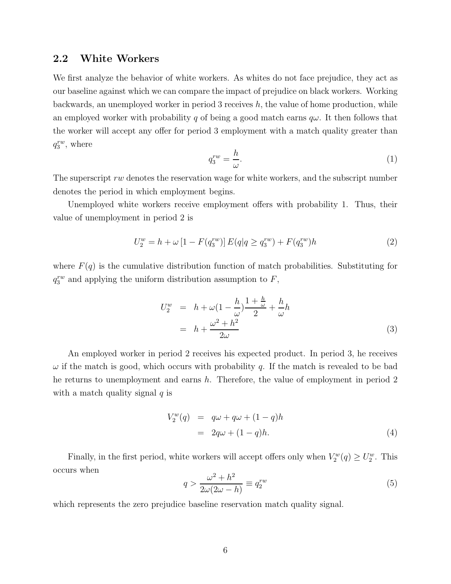## 2.2 White Workers

We first analyze the behavior of white workers. As whites do not face prejudice, they act as our baseline against which we can compare the impact of prejudice on black workers. Working backwards, an unemployed worker in period 3 receives  $h$ , the value of home production, while an employed worker with probability q of being a good match earns  $q\omega$ . It then follows that the worker will accept any offer for period 3 employment with a match quality greater than  $q_3^{rw}$ , where

$$
q_3^{rw} = \frac{h}{\omega}.\tag{1}
$$

The superscript rw denotes the reservation wage for white workers, and the subscript number denotes the period in which employment begins.

Unemployed white workers receive employment offers with probability 1. Thus, their value of unemployment in period 2 is

$$
U_2^w = h + \omega \left[ 1 - F(q_3^{rw}) \right] E(q|q \ge q_3^{rw}) + F(q_3^{rw})h \tag{2}
$$

where  $F(q)$  is the cumulative distribution function of match probabilities. Substituting for  $q_3^{rw}$  and applying the uniform distribution assumption to  $F$ ,

$$
U_2^w = h + \omega \left(1 - \frac{h}{\omega}\right) \frac{1 + \frac{h}{\omega}}{2} + \frac{h}{\omega} h
$$
  
=  $h + \frac{\omega^2 + h^2}{2\omega}$  (3)

An employed worker in period 2 receives his expected product. In period 3, he receives  $\omega$  if the match is good, which occurs with probability q. If the match is revealed to be bad he returns to unemployment and earns h. Therefore, the value of employment in period 2 with a match quality signal  $q$  is

$$
V_2^w(q) = q\omega + q\omega + (1 - q)h
$$
  
=  $2q\omega + (1 - q)h.$  (4)

Finally, in the first period, white workers will accept offers only when  $V_2^w(q) \geq U_2^w$ . This occurs when

$$
q > \frac{\omega^2 + h^2}{2\omega(2\omega - h)} \equiv q_2^{rw} \tag{5}
$$

which represents the zero prejudice baseline reservation match quality signal.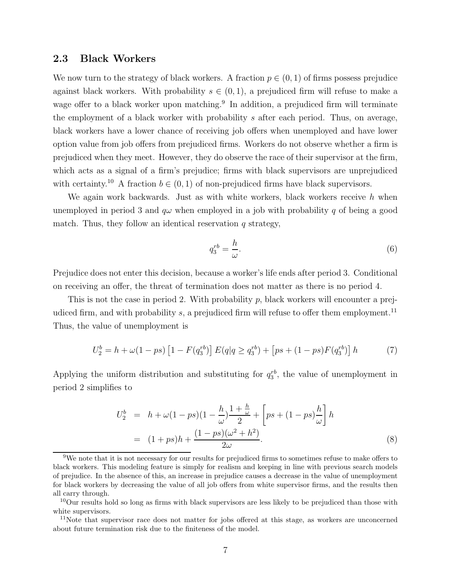# 2.3 Black Workers

We now turn to the strategy of black workers. A fraction  $p \in (0, 1)$  of firms possess prejudice against black workers. With probability  $s \in (0, 1)$ , a prejudiced firm will refuse to make a wage offer to a black worker upon matching.<sup>9</sup> In addition, a prejudiced firm will terminate the employment of a black worker with probability s after each period. Thus, on average, black workers have a lower chance of receiving job offers when unemployed and have lower option value from job offers from prejudiced firms. Workers do not observe whether a firm is prejudiced when they meet. However, they do observe the race of their supervisor at the firm, which acts as a signal of a firm's prejudice; firms with black supervisors are unprejudiced with certainty.<sup>10</sup> A fraction  $b \in (0, 1)$  of non-prejudiced firms have black supervisors.

We again work backwards. Just as with white workers, black workers receive  $h$  when unemployed in period 3 and  $q\omega$  when employed in a job with probability q of being a good match. Thus, they follow an identical reservation  $q$  strategy,

$$
q_3^{rb} = \frac{h}{\omega}.\tag{6}
$$

Prejudice does not enter this decision, because a worker's life ends after period 3. Conditional on receiving an offer, the threat of termination does not matter as there is no period 4.

This is not the case in period 2. With probability p, black workers will encounter a prejudiced firm, and with probability  $s$ , a prejudiced firm will refuse to offer them employment.<sup>11</sup> Thus, the value of unemployment is

$$
U_2^b = h + \omega(1 - ps) \left[ 1 - F(q_3^{rb}) \right] E(q|q \ge q_3^{rb}) + \left[ ps + (1 - ps)F(q_3^{rb}) \right] h \tag{7}
$$

Applying the uniform distribution and substituting for  $q_3^{rb}$ , the value of unemployment in period 2 simplifies to

$$
U_2^b = h + \omega (1 - ps)(1 - \frac{h}{\omega}) \frac{1 + \frac{h}{\omega}}{2} + \left[ ps + (1 - ps) \frac{h}{\omega} \right] h
$$
  
=  $(1 + ps)h + \frac{(1 - ps)(\omega^2 + h^2)}{2\omega}$ . (8)

<sup>9</sup>We note that it is not necessary for our results for prejudiced firms to sometimes refuse to make offers to black workers. This modeling feature is simply for realism and keeping in line with previous search models of prejudice. In the absence of this, an increase in prejudice causes a decrease in the value of unemployment for black workers by decreasing the value of all job offers from white supervisor firms, and the results then all carry through.

<sup>10</sup>Our results hold so long as firms with black supervisors are less likely to be prejudiced than those with white supervisors.

<sup>&</sup>lt;sup>11</sup>Note that supervisor race does not matter for jobs offered at this stage, as workers are unconcerned about future termination risk due to the finiteness of the model.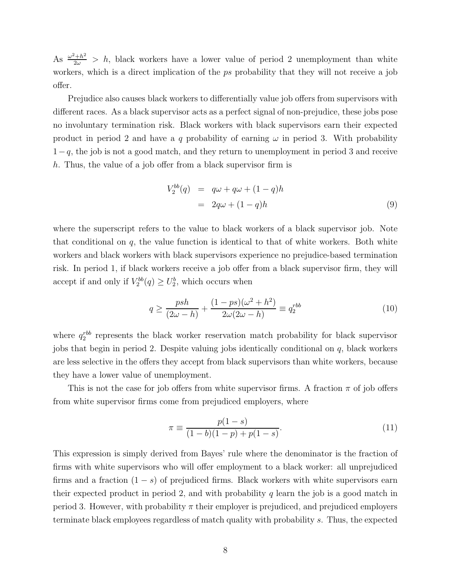As  $\frac{\omega^2 + h^2}{2\omega} > h$ , black workers have a lower value of period 2 unemployment than white workers, which is a direct implication of the ps probability that they will not receive a job offer.

Prejudice also causes black workers to differentially value job offers from supervisors with different races. As a black supervisor acts as a perfect signal of non-prejudice, these jobs pose no involuntary termination risk. Black workers with black supervisors earn their expected product in period 2 and have a q probability of earning  $\omega$  in period 3. With probability  $1-q$ , the job is not a good match, and they return to unemployment in period 3 and receive h. Thus, the value of a job offer from a black supervisor firm is

$$
V_2^{bb}(q) = q\omega + q\omega + (1 - q)h
$$
  
=  $2q\omega + (1 - q)h$  (9)

where the superscript refers to the value to black workers of a black supervisor job. Note that conditional on  $q$ , the value function is identical to that of white workers. Both white workers and black workers with black supervisors experience no prejudice-based termination risk. In period 1, if black workers receive a job offer from a black supervisor firm, they will accept if and only if  $V_2^{bb}(q) \ge U_2^b$ , which occurs when

$$
q \ge \frac{psh}{(2\omega - h)} + \frac{(1 - ps)(\omega^2 + h^2)}{2\omega(2\omega - h)} \equiv q_2^{rbb} \tag{10}
$$

where  $q_2^{rbb}$  represents the black worker reservation match probability for black supervisor jobs that begin in period 2. Despite valuing jobs identically conditional on  $q$ , black workers are less selective in the offers they accept from black supervisors than white workers, because they have a lower value of unemployment.

This is not the case for job offers from white supervisor firms. A fraction  $\pi$  of job offers from white supervisor firms come from prejudiced employers, where

$$
\pi \equiv \frac{p(1-s)}{(1-b)(1-p) + p(1-s)}.\tag{11}
$$

This expression is simply derived from Bayes' rule where the denominator is the fraction of firms with white supervisors who will offer employment to a black worker: all unprejudiced firms and a fraction  $(1-s)$  of prejudiced firms. Black workers with white supervisors earn their expected product in period 2, and with probability  $q$  learn the job is a good match in period 3. However, with probability  $\pi$  their employer is prejudiced, and prejudiced employers terminate black employees regardless of match quality with probability s. Thus, the expected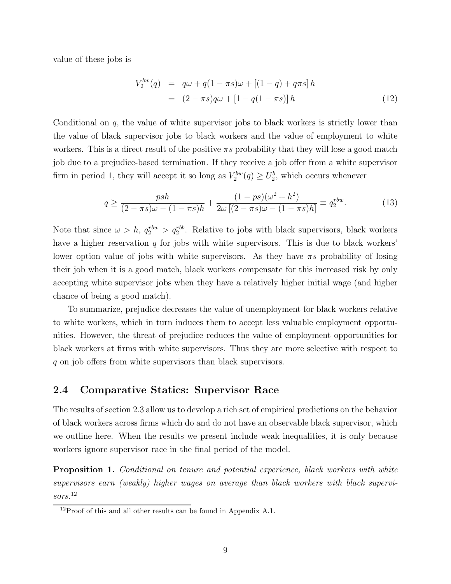value of these jobs is

$$
V_2^{bw}(q) = q\omega + q(1 - \pi s)\omega + [(1 - q) + q\pi s]h
$$
  
=  $(2 - \pi s)q\omega + [1 - q(1 - \pi s)]h$  (12)

Conditional on  $q$ , the value of white supervisor jobs to black workers is strictly lower than the value of black supervisor jobs to black workers and the value of employment to white workers. This is a direct result of the positive  $\pi s$  probability that they will lose a good match job due to a prejudice-based termination. If they receive a job offer from a white supervisor firm in period 1, they will accept it so long as  $V_2^{bw}(q) \geq U_2^b$ , which occurs whenever

$$
q \ge \frac{psh}{(2-\pi s)\omega - (1-\pi s)h} + \frac{(1-ps)(\omega^2 + h^2)}{2\omega [(2-\pi s)\omega - (1-\pi s)h]} \equiv q_2^{rbw}.\tag{13}
$$

Note that since  $\omega > h$ ,  $q_2^{rbw} > q_2^{rbb}$ . Relative to jobs with black supervisors, black workers have a higher reservation  $q$  for jobs with white supervisors. This is due to black workers' lower option value of jobs with white supervisors. As they have  $\pi s$  probability of losing their job when it is a good match, black workers compensate for this increased risk by only accepting white supervisor jobs when they have a relatively higher initial wage (and higher chance of being a good match).

To summarize, prejudice decreases the value of unemployment for black workers relative to white workers, which in turn induces them to accept less valuable employment opportunities. However, the threat of prejudice reduces the value of employment opportunities for black workers at firms with white supervisors. Thus they are more selective with respect to q on job offers from white supervisors than black supervisors.

# 2.4 Comparative Statics: Supervisor Race

The results of section 2.3 allow us to develop a rich set of empirical predictions on the behavior of black workers across firms which do and do not have an observable black supervisor, which we outline here. When the results we present include weak inequalities, it is only because workers ignore supervisor race in the final period of the model.

**Proposition 1.** Conditional on tenure and potential experience, black workers with white supervisors earn (weakly) higher wages on average than black workers with black supervisors.<sup>12</sup>

 $12$ Proof of this and all other results can be found in Appendix A.1.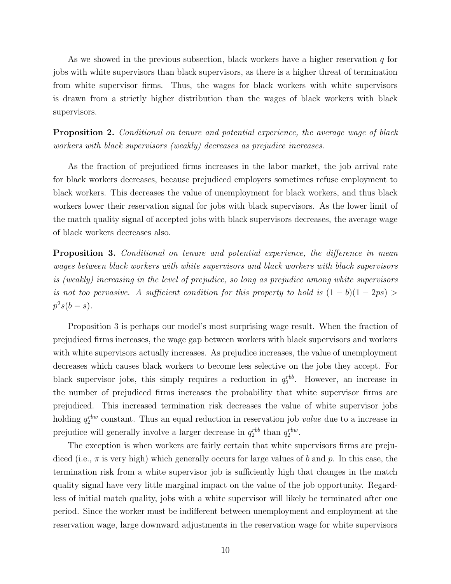As we showed in the previous subsection, black workers have a higher reservation  $q$  for jobs with white supervisors than black supervisors, as there is a higher threat of termination from white supervisor firms. Thus, the wages for black workers with white supervisors is drawn from a strictly higher distribution than the wages of black workers with black supervisors.

**Proposition 2.** Conditional on tenure and potential experience, the average wage of black workers with black supervisors (weakly) decreases as prejudice increases.

As the fraction of prejudiced firms increases in the labor market, the job arrival rate for black workers decreases, because prejudiced employers sometimes refuse employment to black workers. This decreases the value of unemployment for black workers, and thus black workers lower their reservation signal for jobs with black supervisors. As the lower limit of the match quality signal of accepted jobs with black supervisors decreases, the average wage of black workers decreases also.

**Proposition 3.** Conditional on tenure and potential experience, the difference in mean wages between black workers with white supervisors and black workers with black supervisors is (weakly) increasing in the level of prejudice, so long as prejudice among white supervisors is not too pervasive. A sufficient condition for this property to hold is  $(1 - b)(1 - 2ps)$  $p^2s(b-s).$ 

Proposition 3 is perhaps our model's most surprising wage result. When the fraction of prejudiced firms increases, the wage gap between workers with black supervisors and workers with white supervisors actually increases. As prejudice increases, the value of unemployment decreases which causes black workers to become less selective on the jobs they accept. For black supervisor jobs, this simply requires a reduction in  $q_2^{rbb}$ . However, an increase in the number of prejudiced firms increases the probability that white supervisor firms are prejudiced. This increased termination risk decreases the value of white supervisor jobs holding  $q_2^{rbw}$  constant. Thus an equal reduction in reservation job *value* due to a increase in prejudice will generally involve a larger decrease in  $q_2^{rbb}$  than  $q_2^{rbw}$ .

The exception is when workers are fairly certain that white supervisors firms are prejudiced (i.e.,  $\pi$  is very high) which generally occurs for large values of b and p. In this case, the termination risk from a white supervisor job is sufficiently high that changes in the match quality signal have very little marginal impact on the value of the job opportunity. Regardless of initial match quality, jobs with a white supervisor will likely be terminated after one period. Since the worker must be indifferent between unemployment and employment at the reservation wage, large downward adjustments in the reservation wage for white supervisors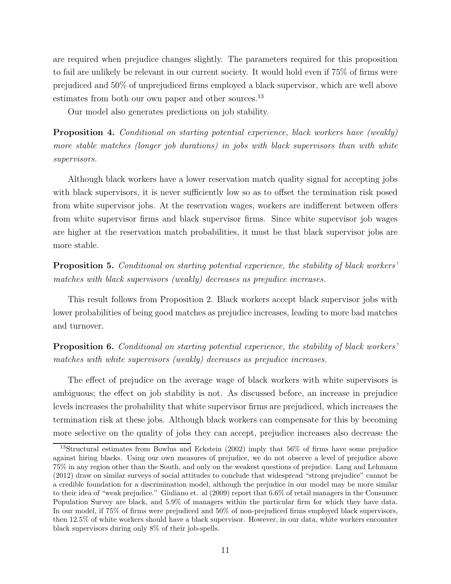are required when prejudice changes slightly. The parameters required for this proposition to fail are unlikely be relevant in our current society. It would hold even if 75% of firms were prejudiced and 50% of unprejudiced firms employed a black supervisor, which are well above estimates from both our own paper and other sources.<sup>13</sup>

Our model also generates predictions on job stability.

Proposition 4. Conditional on starting potential experience, black workers have (weakly) more stable matches (longer job durations) in jobs with black supervisors than with white supervisors.

Although black workers have a lower reservation match quality signal for accepting jobs with black supervisors, it is never sufficiently low so as to offset the termination risk posed from white supervisor jobs. At the reservation wages, workers are indifferent between offers from white supervisor firms and black supervisor firms. Since white supervisor job wages are higher at the reservation match probabilities, it must be that black supervisor jobs are more stable.

Proposition 5. Conditional on starting potential experience, the stability of black workers' matches with black supervisors (weakly) decreases as prejudice increases.

This result follows from Proposition 2. Black workers accept black supervisor jobs with lower probabilities of being good matches as prejudice increases, leading to more bad matches and turnover.

Proposition 6. Conditional on starting potential experience, the stability of black workers' matches with white supervisors (weakly) decreases as prejudice increases.

The effect of prejudice on the average wage of black workers with white supervisors is ambiguous; the effect on job stability is not. As discussed before, an increase in prejudice levels increases the probability that white supervisor firms are prejudiced, which increases the termination risk at these jobs. Although black workers can compensate for this by becoming more selective on the quality of jobs they can accept, prejudice increases also decrease the

<sup>13</sup>Structural estimates from Bowlus and Eckstein (2002) imply that 56% of firms have some prejudice against hiring blacks. Using our own measures of prejudice, we do not observe a level of prejudice above 75% in any region other than the South, and only on the weakest questions of prejudice. Lang and Lehmann (2012) draw on similar surveys of social attitudes to conclude that widespread "strong prejudice" cannot be a credible foundation for a discrimination model, although the prejudice in our model may be more similar to their idea of "weak prejudice." Giuliano et. al (2009) report that 6.6% of retail managers in the Consumer Population Survey are black, and 5.9% of managers within the particular firm for which they have data. In our model, if 75% of firms were prejudiced and 50% of non-prejudiced firms employed black supervisors, then 12.5% of white workers should have a black supervisor. However, in our data, white workers encounter black supervisors during only 8% of their job-spells.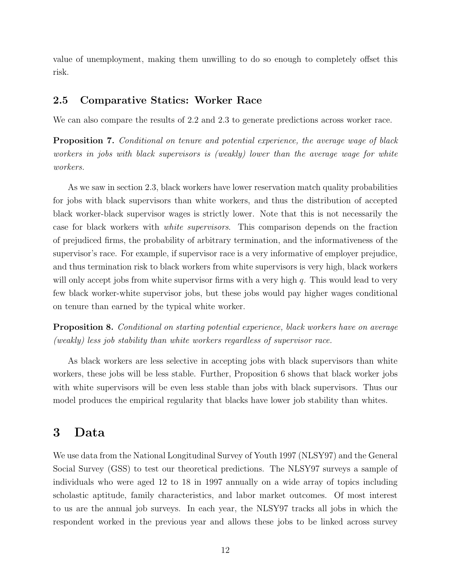value of unemployment, making them unwilling to do so enough to completely offset this risk.

# 2.5 Comparative Statics: Worker Race

We can also compare the results of 2.2 and 2.3 to generate predictions across worker race.

**Proposition 7.** Conditional on tenure and potential experience, the average wage of black workers in jobs with black supervisors is (weakly) lower than the average wage for white workers.

As we saw in section 2.3, black workers have lower reservation match quality probabilities for jobs with black supervisors than white workers, and thus the distribution of accepted black worker-black supervisor wages is strictly lower. Note that this is not necessarily the case for black workers with white supervisors. This comparison depends on the fraction of prejudiced firms, the probability of arbitrary termination, and the informativeness of the supervisor's race. For example, if supervisor race is a very informative of employer prejudice, and thus termination risk to black workers from white supervisors is very high, black workers will only accept jobs from white supervisor firms with a very high  $q$ . This would lead to very few black worker-white supervisor jobs, but these jobs would pay higher wages conditional on tenure than earned by the typical white worker.

Proposition 8. Conditional on starting potential experience, black workers have on average (weakly) less job stability than white workers regardless of supervisor race.

As black workers are less selective in accepting jobs with black supervisors than white workers, these jobs will be less stable. Further, Proposition 6 shows that black worker jobs with white supervisors will be even less stable than jobs with black supervisors. Thus our model produces the empirical regularity that blacks have lower job stability than whites.

# 3 Data

We use data from the National Longitudinal Survey of Youth 1997 (NLSY97) and the General Social Survey (GSS) to test our theoretical predictions. The NLSY97 surveys a sample of individuals who were aged 12 to 18 in 1997 annually on a wide array of topics including scholastic aptitude, family characteristics, and labor market outcomes. Of most interest to us are the annual job surveys. In each year, the NLSY97 tracks all jobs in which the respondent worked in the previous year and allows these jobs to be linked across survey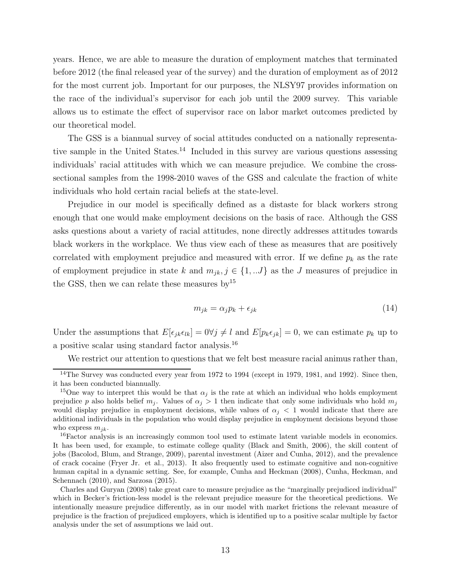years. Hence, we are able to measure the duration of employment matches that terminated before 2012 (the final released year of the survey) and the duration of employment as of 2012 for the most current job. Important for our purposes, the NLSY97 provides information on the race of the individual's supervisor for each job until the 2009 survey. This variable allows us to estimate the effect of supervisor race on labor market outcomes predicted by our theoretical model.

The GSS is a biannual survey of social attitudes conducted on a nationally representative sample in the United States.<sup>14</sup> Included in this survey are various questions assessing individuals' racial attitudes with which we can measure prejudice. We combine the crosssectional samples from the 1998-2010 waves of the GSS and calculate the fraction of white individuals who hold certain racial beliefs at the state-level.

Prejudice in our model is specifically defined as a distaste for black workers strong enough that one would make employment decisions on the basis of race. Although the GSS asks questions about a variety of racial attitudes, none directly addresses attitudes towards black workers in the workplace. We thus view each of these as measures that are positively correlated with employment prejudice and measured with error. If we define  $p_k$  as the rate of employment prejudice in state k and  $m_{jk}$ ,  $j \in \{1, ...J\}$  as the J measures of prejudice in the GSS, then we can relate these measures by  $15$ 

$$
m_{jk} = \alpha_j p_k + \epsilon_{jk} \tag{14}
$$

Under the assumptions that  $E[\epsilon_{jk}\epsilon_{lk}] = 0 \forall j \neq l$  and  $E[p_k\epsilon_{jk}] = 0$ , we can estimate  $p_k$  up to a positive scalar using standard factor analysis.<sup>16</sup>

We restrict our attention to questions that we felt best measure racial animus rather than,

<sup>&</sup>lt;sup>14</sup>The Survey was conducted every year from 1972 to 1994 (except in 1979, 1981, and 1992). Since then, it has been conducted biannually.

<sup>&</sup>lt;sup>15</sup>One way to interpret this would be that  $\alpha_j$  is the rate at which an individual who holds employment prejudice p also holds belief  $m_j$ . Values of  $\alpha_j > 1$  then indicate that only some individuals who hold  $m_j$ would display prejudice in employment decisions, while values of  $\alpha_i < 1$  would indicate that there are additional individuals in the population who would display prejudice in employment decisions beyond those who express  $m_{ik}$ .

<sup>16</sup>Factor analysis is an increasingly common tool used to estimate latent variable models in economics. It has been used, for example, to estimate college quality (Black and Smith, 2006), the skill content of jobs (Bacolod, Blum, and Strange, 2009), parental investment (Aizer and Cunha, 2012), and the prevalence of crack cocaine (Fryer Jr. et al., 2013). It also frequently used to estimate cognitive and non-cognitive human capital in a dynamic setting. See, for example, Cunha and Heckman (2008), Cunha, Heckman, and Schennach (2010), and Sarzosa (2015).

Charles and Guryan (2008) take great care to measure prejudice as the "marginally prejudiced individual" which in Becker's friction-less model is the relevant prejudice measure for the theoretical predictions. We intentionally measure prejudice differently, as in our model with market frictions the relevant measure of prejudice is the fraction of prejudiced employers, which is identified up to a positive scalar multiple by factor analysis under the set of assumptions we laid out.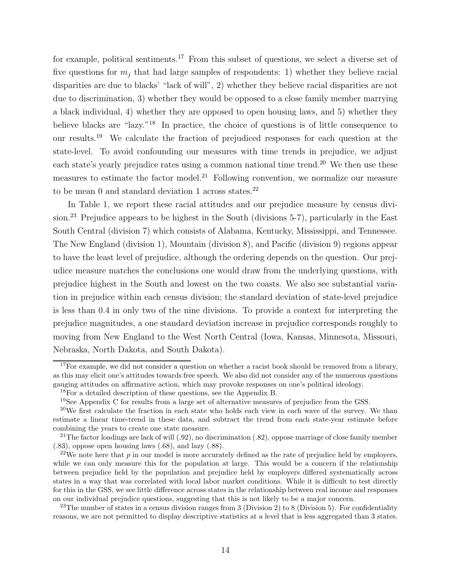for example, political sentiments.<sup>17</sup> From this subset of questions, we select a diverse set of five questions for  $m_i$  that had large samples of respondents: 1) whether they believe racial disparities are due to blacks' "lack of will", 2) whether they believe racial disparities are not due to discrimination, 3) whether they would be opposed to a close family member marrying a black individual, 4) whether they are opposed to open housing laws, and 5) whether they believe blacks are "lazy."<sup>18</sup> In practice, the choice of questions is of little consequence to our results.<sup>19</sup> We calculate the fraction of prejudiced responses for each question at the state-level. To avoid confounding our measures with time trends in prejudice, we adjust each state's yearly prejudice rates using a common national time trend.<sup>20</sup> We then use these measures to estimate the factor model.<sup>21</sup> Following convention, we normalize our measure to be mean 0 and standard deviation 1 across states. $22$ 

In Table 1, we report these racial attitudes and our prejudice measure by census division.<sup>23</sup> Prejudice appears to be highest in the South (divisions 5-7), particularly in the East South Central (division 7) which consists of Alabama, Kentucky, Mississippi, and Tennessee. The New England (division 1), Mountain (division 8), and Pacific (division 9) regions appear to have the least level of prejudice, although the ordering depends on the question. Our prejudice measure matches the conclusions one would draw from the underlying questions, with prejudice highest in the South and lowest on the two coasts. We also see substantial variation in prejudice within each census division; the standard deviation of state-level prejudice is less than 0.4 in only two of the nine divisions. To provide a context for interpreting the prejudice magnitudes, a one standard deviation increase in prejudice corresponds roughly to moving from New England to the West North Central (Iowa, Kansas, Minnesota, Missouri, Nebraska, North Dakota, and South Dakota).

<sup>23</sup>The number of states in a census division ranges from 3 (Division 2) to 8 (Division 5). For confidentiality reasons, we are not permitted to display descriptive statistics at a level that is less aggregated than 3 states.

 $17$  For example, we did not consider a question on whether a racist book should be removed from a library, as this may elicit one's attitudes towards free speech. We also did not consider any of the numerous questions gauging attitudes on affirmative action, which may provoke responses on one's political ideology.

<sup>&</sup>lt;sup>18</sup>For a detailed description of these questions, see the Appendix B.

 $19$ See Appendix C for results from a large set of alternative measures of prejudice from the GSS.

 $^{20}$ We first calculate the fraction in each state who holds each view in each wave of the survey. We than estimate a linear time-trend in these data, and subtract the trend from each state-year estimate before combining the years to create one state measure.

<sup>&</sup>lt;sup>21</sup>The factor loadings are lack of will  $(.92)$ , no discrimination  $(.82)$ , oppose marriage of close family member (.83), oppose open housing laws (.68), and lazy (.88).

<sup>&</sup>lt;sup>22</sup>We note here that  $p$  in our model is more accurately defined as the rate of prejudice held by employers, while we can only measure this for the population at large. This would be a concern if the relationship between prejudice held by the population and prejudice held by employers differed systematically across states in a way that was correlated with local labor market conditions. While it is difficult to test directly for this in the GSS, we see little difference across states in the relationship between real income and responses on our individual prejudice questions, suggesting that this is not likely to be a major concern.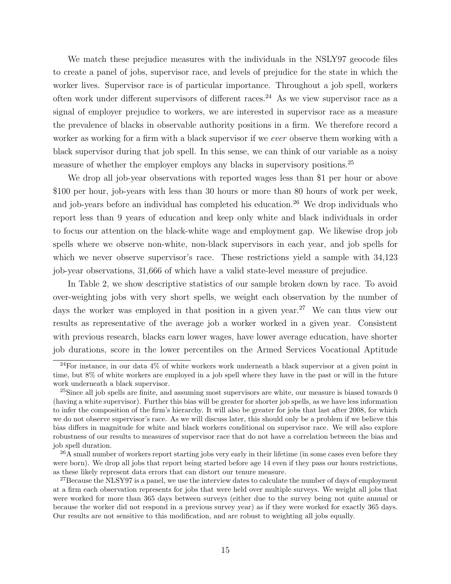We match these prejudice measures with the individuals in the NSLY97 geocode files to create a panel of jobs, supervisor race, and levels of prejudice for the state in which the worker lives. Supervisor race is of particular importance. Throughout a job spell, workers often work under different supervisors of different races.<sup>24</sup> As we view supervisor race as a signal of employer prejudice to workers, we are interested in supervisor race as a measure the prevalence of blacks in observable authority positions in a firm. We therefore record a worker as working for a firm with a black supervisor if we *ever* observe them working with a black supervisor during that job spell. In this sense, we can think of our variable as a noisy measure of whether the employer employs any blacks in supervisory positions.<sup>25</sup>

We drop all job-year observations with reported wages less than \$1 per hour or above \$100 per hour, job-years with less than 30 hours or more than 80 hours of work per week, and job-years before an individual has completed his education.<sup>26</sup> We drop individuals who report less than 9 years of education and keep only white and black individuals in order to focus our attention on the black-white wage and employment gap. We likewise drop job spells where we observe non-white, non-black supervisors in each year, and job spells for which we never observe supervisor's race. These restrictions yield a sample with  $34,123$ job-year observations, 31,666 of which have a valid state-level measure of prejudice.

In Table 2, we show descriptive statistics of our sample broken down by race. To avoid over-weighting jobs with very short spells, we weight each observation by the number of days the worker was employed in that position in a given year.<sup>27</sup> We can thus view our results as representative of the average job a worker worked in a given year. Consistent with previous research, blacks earn lower wages, have lower average education, have shorter job durations, score in the lower percentiles on the Armed Services Vocational Aptitude

 $^{24}$ For instance, in our data 4% of white workers work underneath a black supervisor at a given point in time, but 8% of white workers are employed in a job spell where they have in the past or will in the future work underneath a black supervisor.

<sup>&</sup>lt;sup>25</sup>Since all job spells are finite, and assuming most supervisors are white, our measure is biased towards 0 (having a white supervisor). Further this bias will be greater for shorter job spells, as we have less information to infer the composition of the firm's hierarchy. It will also be greater for jobs that last after 2008, for which we do not observe supervisor's race. As we will discuss later, this should only be a problem if we believe this bias differs in magnitude for white and black workers conditional on supervisor race. We will also explore robustness of our results to measures of supervisor race that do not have a correlation between the bias and job spell duration.

<sup>&</sup>lt;sup>26</sup>A small number of workers report starting jobs very early in their lifetime (in some cases even before they were born). We drop all jobs that report being started before age 14 even if they pass our hours restrictions, as these likely represent data errors that can distort our tenure measure.

<sup>&</sup>lt;sup>27</sup>Because the NLSY97 is a panel, we use the interview dates to calculate the number of days of employment at a firm each observation represents for jobs that were held over multiple surveys. We weight all jobs that were worked for more than 365 days between surveys (either due to the survey being not quite annual or because the worker did not respond in a previous survey year) as if they were worked for exactly 365 days. Our results are not sensitive to this modification, and are robust to weighting all jobs equally.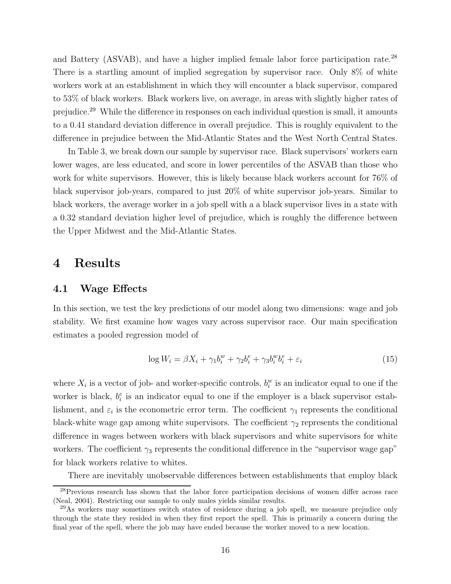and Battery (ASVAB), and have a higher implied female labor force participation rate.<sup>28</sup> There is a startling amount of implied segregation by supervisor race. Only 8% of white workers work at an establishment in which they will encounter a black supervisor, compared to 53% of black workers. Black workers live, on average, in areas with slightly higher rates of prejudice.<sup>29</sup> While the difference in responses on each individual question is small, it amounts to a 0.41 standard deviation difference in overall prejudice. This is roughly equivalent to the difference in prejudice between the Mid-Atlantic States and the West North Central States.

In Table 3, we break down our sample by supervisor race. Black supervisors' workers earn lower wages, are less educated, and score in lower percentiles of the ASVAB than those who work for white supervisors. However, this is likely because black workers account for 76% of black supervisor job-years, compared to just 20% of white supervisor job-years. Similar to black workers, the average worker in a job spell with a a black supervisor lives in a state with a 0.32 standard deviation higher level of prejudice, which is roughly the difference between the Upper Midwest and the Mid-Atlantic States.

# 4 Results

## 4.1 Wage Effects

In this section, we test the key predictions of our model along two dimensions: wage and job stability. We first examine how wages vary across supervisor race. Our main specification estimates a pooled regression model of

$$
\log W_i = \beta X_i + \gamma_1 b_i^w + \gamma_2 b_i^e + \gamma_3 b_i^w b_i^e + \varepsilon_i \tag{15}
$$

where  $X_i$  is a vector of job- and worker-specific controls,  $b_i^w$  is an indicator equal to one if the worker is black,  $b_i^e$  is an indicator equal to one if the employer is a black supervisor establishment, and  $\varepsilon_i$  is the econometric error term. The coefficient  $\gamma_1$  represents the conditional black-white wage gap among white supervisors. The coefficient  $\gamma_2$  represents the conditional difference in wages between workers with black supervisors and white supervisors for white workers. The coefficient  $\gamma_3$  represents the conditional difference in the "supervisor wage gap" for black workers relative to whites.

There are inevitably unobservable differences between establishments that employ black

<sup>&</sup>lt;sup>28</sup>Previous research has shown that the labor force participation decisions of women differ across race (Neal, 2004). Restricting our sample to only males yields similar results.

 $^{29}$ As workers may sometimes switch states of residence during a job spell, we measure prejudice only through the state they resided in when they first report the spell. This is primarily a concern during the final year of the spell, where the job may have ended because the worker moved to a new location.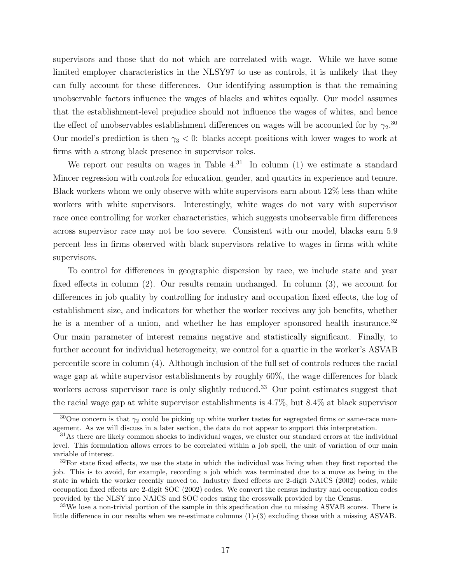supervisors and those that do not which are correlated with wage. While we have some limited employer characteristics in the NLSY97 to use as controls, it is unlikely that they can fully account for these differences. Our identifying assumption is that the remaining unobservable factors influence the wages of blacks and whites equally. Our model assumes that the establishment-level prejudice should not influence the wages of whites, and hence the effect of unobservables establishment differences on wages will be accounted for by  $\gamma_2$ .<sup>30</sup> Our model's prediction is then  $\gamma_3$  < 0: blacks accept positions with lower wages to work at firms with a strong black presence in supervisor roles.

We report our results on wages in Table  $4^{31}$  In column (1) we estimate a standard Mincer regression with controls for education, gender, and quartics in experience and tenure. Black workers whom we only observe with white supervisors earn about 12% less than white workers with white supervisors. Interestingly, white wages do not vary with supervisor race once controlling for worker characteristics, which suggests unobservable firm differences across supervisor race may not be too severe. Consistent with our model, blacks earn 5.9 percent less in firms observed with black supervisors relative to wages in firms with white supervisors.

To control for differences in geographic dispersion by race, we include state and year fixed effects in column (2). Our results remain unchanged. In column (3), we account for differences in job quality by controlling for industry and occupation fixed effects, the log of establishment size, and indicators for whether the worker receives any job benefits, whether he is a member of a union, and whether he has employer sponsored health insurance.<sup>32</sup> Our main parameter of interest remains negative and statistically significant. Finally, to further account for individual heterogeneity, we control for a quartic in the worker's ASVAB percentile score in column (4). Although inclusion of the full set of controls reduces the racial wage gap at white supervisor establishments by roughly 60%, the wage differences for black workers across supervisor race is only slightly reduced.<sup>33</sup> Our point estimates suggest that the racial wage gap at white supervisor establishments is 4.7%, but 8.4% at black supervisor

<sup>&</sup>lt;sup>30</sup>One concern is that  $\gamma_2$  could be picking up white worker tastes for segregated firms or same-race management. As we will discuss in a later section, the data do not appear to support this interpretation.

<sup>&</sup>lt;sup>31</sup>As there are likely common shocks to individual wages, we cluster our standard errors at the individual level. This formulation allows errors to be correlated within a job spell, the unit of variation of our main variable of interest.

 $32$ For state fixed effects, we use the state in which the individual was living when they first reported the job. This is to avoid, for example, recording a job which was terminated due to a move as being in the state in which the worker recently moved to. Industry fixed effects are 2-digit NAICS (2002) codes, while occupation fixed effects are 2-digit SOC (2002) codes. We convert the census industry and occupation codes provided by the NLSY into NAICS and SOC codes using the crosswalk provided by the Census.

<sup>&</sup>lt;sup>33</sup>We lose a non-trivial portion of the sample in this specification due to missing ASVAB scores. There is little difference in our results when we re-estimate columns (1)-(3) excluding those with a missing ASVAB.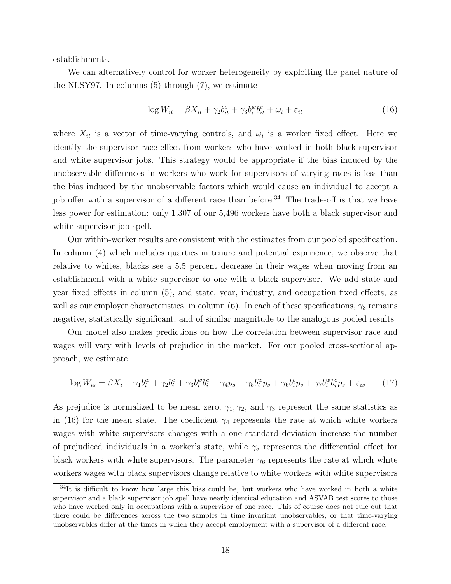establishments.

We can alternatively control for worker heterogeneity by exploiting the panel nature of the NLSY97. In columns (5) through (7), we estimate

$$
\log W_{it} = \beta X_{it} + \gamma_2 b_{it}^e + \gamma_3 b_i^w b_{it}^e + \omega_i + \varepsilon_{it}
$$
\n(16)

where  $X_{it}$  is a vector of time-varying controls, and  $\omega_i$  is a worker fixed effect. Here we identify the supervisor race effect from workers who have worked in both black supervisor and white supervisor jobs. This strategy would be appropriate if the bias induced by the unobservable differences in workers who work for supervisors of varying races is less than the bias induced by the unobservable factors which would cause an individual to accept a job offer with a supervisor of a different race than before.<sup>34</sup> The trade-off is that we have less power for estimation: only 1,307 of our 5,496 workers have both a black supervisor and white supervisor job spell.

Our within-worker results are consistent with the estimates from our pooled specification. In column (4) which includes quartics in tenure and potential experience, we observe that relative to whites, blacks see a 5.5 percent decrease in their wages when moving from an establishment with a white supervisor to one with a black supervisor. We add state and year fixed effects in column (5), and state, year, industry, and occupation fixed effects, as well as our employer characteristics, in column (6). In each of these specifications,  $\gamma_3$  remains negative, statistically significant, and of similar magnitude to the analogous pooled results

Our model also makes predictions on how the correlation between supervisor race and wages will vary with levels of prejudice in the market. For our pooled cross-sectional approach, we estimate

$$
\log W_{is} = \beta X_i + \gamma_1 b_i^w + \gamma_2 b_i^e + \gamma_3 b_i^w b_i^e + \gamma_4 p_s + \gamma_5 b_i^w p_s + \gamma_6 b_i^e p_s + \gamma_7 b_i^w b_i^e p_s + \varepsilon_{is} \tag{17}
$$

As prejudice is normalized to be mean zero,  $\gamma_1, \gamma_2$ , and  $\gamma_3$  represent the same statistics as in (16) for the mean state. The coefficient  $\gamma_4$  represents the rate at which white workers wages with white supervisors changes with a one standard deviation increase the number of prejudiced individuals in a worker's state, while  $\gamma_5$  represents the differential effect for black workers with white supervisors. The parameter  $\gamma_6$  represents the rate at which white workers wages with black supervisors change relative to white workers with white supervisors

 $34$ It is difficult to know how large this bias could be, but workers who have worked in both a white supervisor and a black supervisor job spell have nearly identical education and ASVAB test scores to those who have worked only in occupations with a supervisor of one race. This of course does not rule out that there could be differences across the two samples in time invariant unobservables, or that time-varying unobservables differ at the times in which they accept employment with a supervisor of a different race.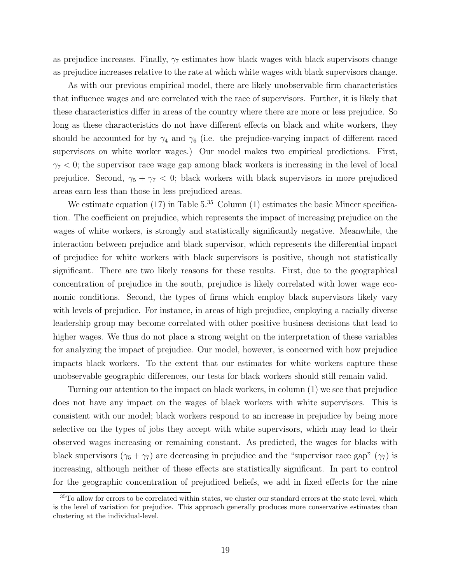as prejudice increases. Finally,  $\gamma_7$  estimates how black wages with black supervisors change as prejudice increases relative to the rate at which white wages with black supervisors change.

As with our previous empirical model, there are likely unobservable firm characteristics that influence wages and are correlated with the race of supervisors. Further, it is likely that these characteristics differ in areas of the country where there are more or less prejudice. So long as these characteristics do not have different effects on black and white workers, they should be accounted for by  $\gamma_4$  and  $\gamma_6$  (i.e. the prejudice-varying impact of different raced supervisors on white worker wages.) Our model makes two empirical predictions. First,  $\gamma_7$  < 0; the supervisor race wage gap among black workers is increasing in the level of local prejudice. Second,  $\gamma_5 + \gamma_7 < 0$ ; black workers with black supervisors in more prejudiced areas earn less than those in less prejudiced areas.

We estimate equation (17) in Table  $5^{35}$  Column (1) estimates the basic Mincer specification. The coefficient on prejudice, which represents the impact of increasing prejudice on the wages of white workers, is strongly and statistically significantly negative. Meanwhile, the interaction between prejudice and black supervisor, which represents the differential impact of prejudice for white workers with black supervisors is positive, though not statistically significant. There are two likely reasons for these results. First, due to the geographical concentration of prejudice in the south, prejudice is likely correlated with lower wage economic conditions. Second, the types of firms which employ black supervisors likely vary with levels of prejudice. For instance, in areas of high prejudice, employing a racially diverse leadership group may become correlated with other positive business decisions that lead to higher wages. We thus do not place a strong weight on the interpretation of these variables for analyzing the impact of prejudice. Our model, however, is concerned with how prejudice impacts black workers. To the extent that our estimates for white workers capture these unobservable geographic differences, our tests for black workers should still remain valid.

Turning our attention to the impact on black workers, in column (1) we see that prejudice does not have any impact on the wages of black workers with white supervisors. This is consistent with our model; black workers respond to an increase in prejudice by being more selective on the types of jobs they accept with white supervisors, which may lead to their observed wages increasing or remaining constant. As predicted, the wages for blacks with black supervisors  $(\gamma_5 + \gamma_7)$  are decreasing in prejudice and the "supervisor race gap"  $(\gamma_7)$  is increasing, although neither of these effects are statistically significant. In part to control for the geographic concentration of prejudiced beliefs, we add in fixed effects for the nine

<sup>&</sup>lt;sup>35</sup>To allow for errors to be correlated within states, we cluster our standard errors at the state level, which is the level of variation for prejudice. This approach generally produces more conservative estimates than clustering at the individual-level.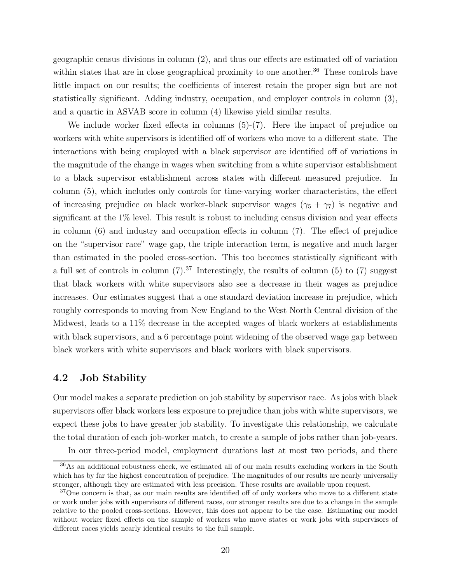geographic census divisions in column (2), and thus our effects are estimated off of variation within states that are in close geographical proximity to one another.<sup>36</sup> These controls have little impact on our results; the coefficients of interest retain the proper sign but are not statistically significant. Adding industry, occupation, and employer controls in column (3), and a quartic in ASVAB score in column (4) likewise yield similar results.

We include worker fixed effects in columns  $(5)-(7)$ . Here the impact of prejudice on workers with white supervisors is identified off of workers who move to a different state. The interactions with being employed with a black supervisor are identified off of variations in the magnitude of the change in wages when switching from a white supervisor establishment to a black supervisor establishment across states with different measured prejudice. In column (5), which includes only controls for time-varying worker characteristics, the effect of increasing prejudice on black worker-black supervisor wages  $(\gamma_5 + \gamma_7)$  is negative and significant at the 1% level. This result is robust to including census division and year effects in column (6) and industry and occupation effects in column (7). The effect of prejudice on the "supervisor race" wage gap, the triple interaction term, is negative and much larger than estimated in the pooled cross-section. This too becomes statistically significant with a full set of controls in column  $(7).^{37}$  Interestingly, the results of column  $(5)$  to  $(7)$  suggest that black workers with white supervisors also see a decrease in their wages as prejudice increases. Our estimates suggest that a one standard deviation increase in prejudice, which roughly corresponds to moving from New England to the West North Central division of the Midwest, leads to a 11% decrease in the accepted wages of black workers at establishments with black supervisors, and a 6 percentage point widening of the observed wage gap between black workers with white supervisors and black workers with black supervisors.

# 4.2 Job Stability

Our model makes a separate prediction on job stability by supervisor race. As jobs with black supervisors offer black workers less exposure to prejudice than jobs with white supervisors, we expect these jobs to have greater job stability. To investigate this relationship, we calculate the total duration of each job-worker match, to create a sample of jobs rather than job-years. In our three-period model, employment durations last at most two periods, and there

<sup>36</sup>As an additional robustness check, we estimated all of our main results excluding workers in the South which has by far the highest concentration of prejudice. The magnitudes of our results are nearly universally stronger, although they are estimated with less precision. These results are available upon request.

<sup>&</sup>lt;sup>37</sup>One concern is that, as our main results are identified off of only workers who move to a different state or work under jobs with supervisors of different races, our stronger results are due to a change in the sample relative to the pooled cross-sections. However, this does not appear to be the case. Estimating our model without worker fixed effects on the sample of workers who move states or work jobs with supervisors of different races yields nearly identical results to the full sample.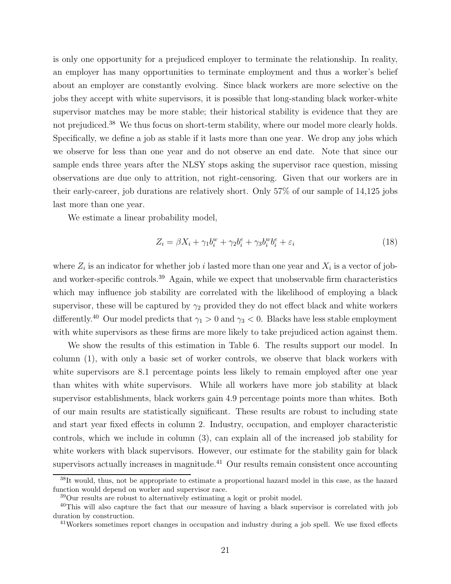is only one opportunity for a prejudiced employer to terminate the relationship. In reality, an employer has many opportunities to terminate employment and thus a worker's belief about an employer are constantly evolving. Since black workers are more selective on the jobs they accept with white supervisors, it is possible that long-standing black worker-white supervisor matches may be more stable; their historical stability is evidence that they are not prejudiced.<sup>38</sup> We thus focus on short-term stability, where our model more clearly holds. Specifically, we define a job as stable if it lasts more than one year. We drop any jobs which we observe for less than one year and do not observe an end date. Note that since our sample ends three years after the NLSY stops asking the supervisor race question, missing observations are due only to attrition, not right-censoring. Given that our workers are in their early-career, job durations are relatively short. Only 57% of our sample of 14,125 jobs last more than one year.

We estimate a linear probability model,

$$
Z_i = \beta X_i + \gamma_1 b_i^w + \gamma_2 b_i^e + \gamma_3 b_i^w b_i^e + \varepsilon_i \tag{18}
$$

where  $Z_i$  is an indicator for whether job i lasted more than one year and  $X_i$  is a vector of joband worker-specific controls.<sup>39</sup> Again, while we expect that unobservable firm characteristics which may influence job stability are correlated with the likelihood of employing a black supervisor, these will be captured by  $\gamma_2$  provided they do not effect black and white workers differently.<sup>40</sup> Our model predicts that  $\gamma_1 > 0$  and  $\gamma_3 < 0$ . Blacks have less stable employment with white supervisors as these firms are more likely to take prejudiced action against them.

We show the results of this estimation in Table 6. The results support our model. In column (1), with only a basic set of worker controls, we observe that black workers with white supervisors are 8.1 percentage points less likely to remain employed after one year than whites with white supervisors. While all workers have more job stability at black supervisor establishments, black workers gain 4.9 percentage points more than whites. Both of our main results are statistically significant. These results are robust to including state and start year fixed effects in column 2. Industry, occupation, and employer characteristic controls, which we include in column (3), can explain all of the increased job stability for white workers with black supervisors. However, our estimate for the stability gain for black supervisors actually increases in magnitude.<sup>41</sup> Our results remain consistent once accounting

 $38$ It would, thus, not be appropriate to estimate a proportional hazard model in this case, as the hazard function would depend on worker and supervisor race.

<sup>39</sup>Our results are robust to alternatively estimating a logit or probit model.

<sup>&</sup>lt;sup>40</sup>This will also capture the fact that our measure of having a black supervisor is correlated with job duration by construction.

<sup>&</sup>lt;sup>41</sup>Workers sometimes report changes in occupation and industry during a job spell. We use fixed effects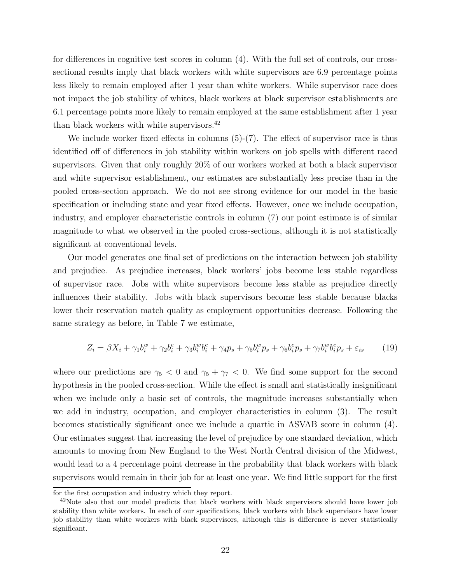for differences in cognitive test scores in column (4). With the full set of controls, our crosssectional results imply that black workers with white supervisors are 6.9 percentage points less likely to remain employed after 1 year than white workers. While supervisor race does not impact the job stability of whites, black workers at black supervisor establishments are 6.1 percentage points more likely to remain employed at the same establishment after 1 year than black workers with white supervisors.<sup>42</sup>

We include worker fixed effects in columns  $(5)-(7)$ . The effect of supervisor race is thus identified off of differences in job stability within workers on job spells with different raced supervisors. Given that only roughly 20% of our workers worked at both a black supervisor and white supervisor establishment, our estimates are substantially less precise than in the pooled cross-section approach. We do not see strong evidence for our model in the basic specification or including state and year fixed effects. However, once we include occupation, industry, and employer characteristic controls in column (7) our point estimate is of similar magnitude to what we observed in the pooled cross-sections, although it is not statistically significant at conventional levels.

Our model generates one final set of predictions on the interaction between job stability and prejudice. As prejudice increases, black workers' jobs become less stable regardless of supervisor race. Jobs with white supervisors become less stable as prejudice directly influences their stability. Jobs with black supervisors become less stable because blacks lower their reservation match quality as employment opportunities decrease. Following the same strategy as before, in Table 7 we estimate,

$$
Z_i = \beta X_i + \gamma_1 b_i^w + \gamma_2 b_i^e + \gamma_3 b_i^w b_i^e + \gamma_4 p_s + \gamma_5 b_i^w p_s + \gamma_6 b_i^e p_s + \gamma_7 b_i^w b_i^e p_s + \varepsilon_{is} \tag{19}
$$

where our predictions are  $\gamma_5 < 0$  and  $\gamma_5 + \gamma_7 < 0$ . We find some support for the second hypothesis in the pooled cross-section. While the effect is small and statistically insignificant when we include only a basic set of controls, the magnitude increases substantially when we add in industry, occupation, and employer characteristics in column (3). The result becomes statistically significant once we include a quartic in ASVAB score in column (4). Our estimates suggest that increasing the level of prejudice by one standard deviation, which amounts to moving from New England to the West North Central division of the Midwest, would lead to a 4 percentage point decrease in the probability that black workers with black supervisors would remain in their job for at least one year. We find little support for the first

for the first occupation and industry which they report.

 $42$ Note also that our model predicts that black workers with black supervisors should have lower job stability than white workers. In each of our specifications, black workers with black supervisors have lower job stability than white workers with black supervisors, although this is difference is never statistically significant.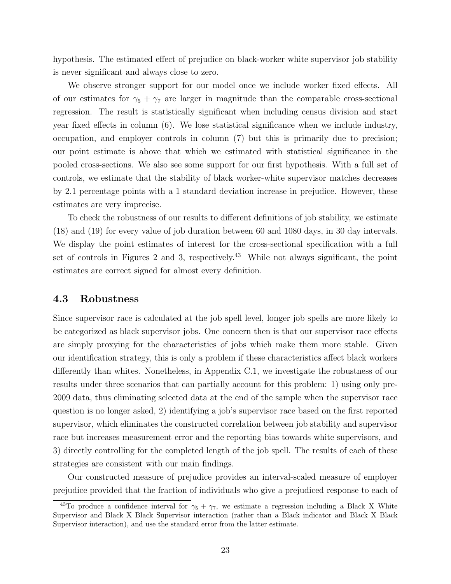hypothesis. The estimated effect of prejudice on black-worker white supervisor job stability is never significant and always close to zero.

We observe stronger support for our model once we include worker fixed effects. All of our estimates for  $\gamma_5 + \gamma_7$  are larger in magnitude than the comparable cross-sectional regression. The result is statistically significant when including census division and start year fixed effects in column (6). We lose statistical significance when we include industry, occupation, and employer controls in column (7) but this is primarily due to precision; our point estimate is above that which we estimated with statistical significance in the pooled cross-sections. We also see some support for our first hypothesis. With a full set of controls, we estimate that the stability of black worker-white supervisor matches decreases by 2.1 percentage points with a 1 standard deviation increase in prejudice. However, these estimates are very imprecise.

To check the robustness of our results to different definitions of job stability, we estimate (18) and (19) for every value of job duration between 60 and 1080 days, in 30 day intervals. We display the point estimates of interest for the cross-sectional specification with a full set of controls in Figures 2 and 3, respectively.<sup>43</sup> While not always significant, the point estimates are correct signed for almost every definition.

## 4.3 Robustness

Since supervisor race is calculated at the job spell level, longer job spells are more likely to be categorized as black supervisor jobs. One concern then is that our supervisor race effects are simply proxying for the characteristics of jobs which make them more stable. Given our identification strategy, this is only a problem if these characteristics affect black workers differently than whites. Nonetheless, in Appendix C.1, we investigate the robustness of our results under three scenarios that can partially account for this problem: 1) using only pre-2009 data, thus eliminating selected data at the end of the sample when the supervisor race question is no longer asked, 2) identifying a job's supervisor race based on the first reported supervisor, which eliminates the constructed correlation between job stability and supervisor race but increases measurement error and the reporting bias towards white supervisors, and 3) directly controlling for the completed length of the job spell. The results of each of these strategies are consistent with our main findings.

Our constructed measure of prejudice provides an interval-scaled measure of employer prejudice provided that the fraction of individuals who give a prejudiced response to each of

<sup>&</sup>lt;sup>43</sup>To produce a confidence interval for  $\gamma_5 + \gamma_7$ , we estimate a regression including a Black X White Supervisor and Black X Black Supervisor interaction (rather than a Black indicator and Black X Black Supervisor interaction), and use the standard error from the latter estimate.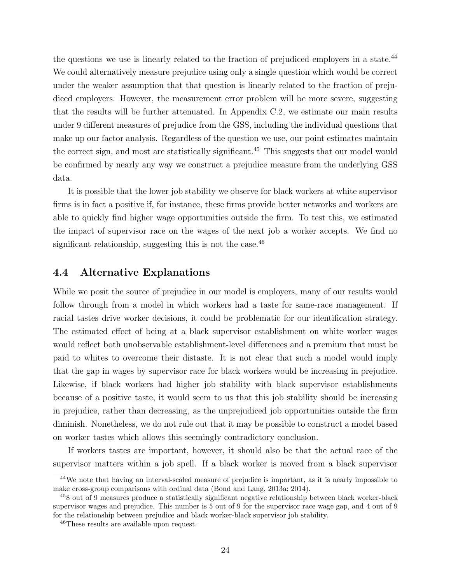the questions we use is linearly related to the fraction of prejudiced employers in a state.<sup>44</sup> We could alternatively measure prejudice using only a single question which would be correct under the weaker assumption that that question is linearly related to the fraction of prejudiced employers. However, the measurement error problem will be more severe, suggesting that the results will be further attenuated. In Appendix C.2, we estimate our main results under 9 different measures of prejudice from the GSS, including the individual questions that make up our factor analysis. Regardless of the question we use, our point estimates maintain the correct sign, and most are statistically significant.<sup>45</sup> This suggests that our model would be confirmed by nearly any way we construct a prejudice measure from the underlying GSS data.

It is possible that the lower job stability we observe for black workers at white supervisor firms is in fact a positive if, for instance, these firms provide better networks and workers are able to quickly find higher wage opportunities outside the firm. To test this, we estimated the impact of supervisor race on the wages of the next job a worker accepts. We find no significant relationship, suggesting this is not the case.  $46$ 

# 4.4 Alternative Explanations

While we posit the source of prejudice in our model is employers, many of our results would follow through from a model in which workers had a taste for same-race management. If racial tastes drive worker decisions, it could be problematic for our identification strategy. The estimated effect of being at a black supervisor establishment on white worker wages would reflect both unobservable establishment-level differences and a premium that must be paid to whites to overcome their distaste. It is not clear that such a model would imply that the gap in wages by supervisor race for black workers would be increasing in prejudice. Likewise, if black workers had higher job stability with black supervisor establishments because of a positive taste, it would seem to us that this job stability should be increasing in prejudice, rather than decreasing, as the unprejudiced job opportunities outside the firm diminish. Nonetheless, we do not rule out that it may be possible to construct a model based on worker tastes which allows this seemingly contradictory conclusion.

If workers tastes are important, however, it should also be that the actual race of the supervisor matters within a job spell. If a black worker is moved from a black supervisor

<sup>&</sup>lt;sup>44</sup>We note that having an interval-scaled measure of prejudice is important, as it is nearly impossible to make cross-group comparisons with ordinal data (Bond and Lang, 2013a; 2014).

<sup>45</sup>8 out of 9 measures produce a statistically significant negative relationship between black worker-black supervisor wages and prejudice. This number is 5 out of 9 for the supervisor race wage gap, and 4 out of 9 for the relationship between prejudice and black worker-black supervisor job stability.

<sup>46</sup>These results are available upon request.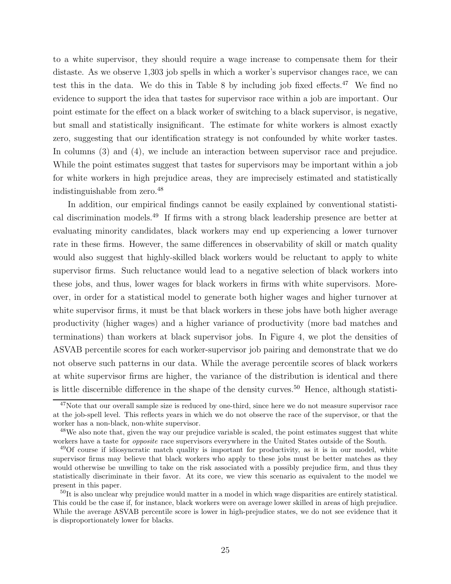to a white supervisor, they should require a wage increase to compensate them for their distaste. As we observe 1,303 job spells in which a worker's supervisor changes race, we can test this in the data. We do this in Table 8 by including job fixed effects. $47$  We find no evidence to support the idea that tastes for supervisor race within a job are important. Our point estimate for the effect on a black worker of switching to a black supervisor, is negative, but small and statistically insignificant. The estimate for white workers is almost exactly zero, suggesting that our identification strategy is not confounded by white worker tastes. In columns (3) and (4), we include an interaction between supervisor race and prejudice. While the point estimates suggest that tastes for supervisors may be important within a job for white workers in high prejudice areas, they are imprecisely estimated and statistically indistinguishable from zero.<sup>48</sup>

In addition, our empirical findings cannot be easily explained by conventional statistical discrimination models.<sup>49</sup> If firms with a strong black leadership presence are better at evaluating minority candidates, black workers may end up experiencing a lower turnover rate in these firms. However, the same differences in observability of skill or match quality would also suggest that highly-skilled black workers would be reluctant to apply to white supervisor firms. Such reluctance would lead to a negative selection of black workers into these jobs, and thus, lower wages for black workers in firms with white supervisors. Moreover, in order for a statistical model to generate both higher wages and higher turnover at white supervisor firms, it must be that black workers in these jobs have both higher average productivity (higher wages) and a higher variance of productivity (more bad matches and terminations) than workers at black supervisor jobs. In Figure 4, we plot the densities of ASVAB percentile scores for each worker-supervisor job pairing and demonstrate that we do not observe such patterns in our data. While the average percentile scores of black workers at white supervisor firms are higher, the variance of the distribution is identical and there is little discernible difference in the shape of the density curves.<sup>50</sup> Hence, although statisti-

<sup>&</sup>lt;sup>47</sup>Note that our overall sample size is reduced by one-third, since here we do not measure supervisor race at the job-spell level. This reflects years in which we do not observe the race of the supervisor, or that the worker has a non-black, non-white supervisor.

<sup>&</sup>lt;sup>48</sup>We also note that, given the way our prejudice variable is scaled, the point estimates suggest that white workers have a taste for *opposite* race supervisors everywhere in the United States outside of the South.

 $^{49}$ Of course if idiosyncratic match quality is important for productivity, as it is in our model, white supervisor firms may believe that black workers who apply to these jobs must be better matches as they would otherwise be unwilling to take on the risk associated with a possibly prejudice firm, and thus they statistically discriminate in their favor. At its core, we view this scenario as equivalent to the model we present in this paper.

 ${}^{50}$ It is also unclear why prejudice would matter in a model in which wage disparities are entirely statistical. This could be the case if, for instance, black workers were on average lower skilled in areas of high prejudice. While the average ASVAB percentile score is lower in high-prejudice states, we do not see evidence that it is disproportionately lower for blacks.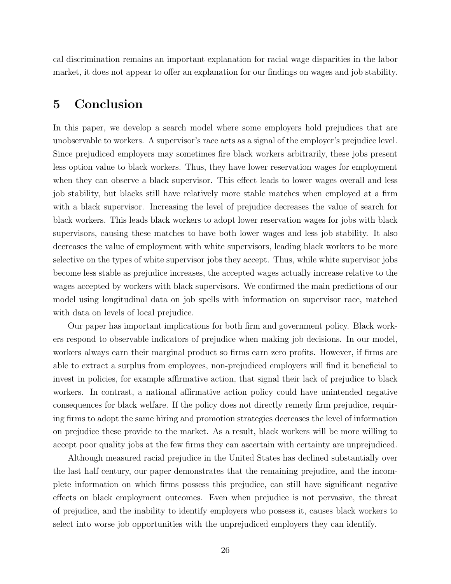cal discrimination remains an important explanation for racial wage disparities in the labor market, it does not appear to offer an explanation for our findings on wages and job stability.

# 5 Conclusion

In this paper, we develop a search model where some employers hold prejudices that are unobservable to workers. A supervisor's race acts as a signal of the employer's prejudice level. Since prejudiced employers may sometimes fire black workers arbitrarily, these jobs present less option value to black workers. Thus, they have lower reservation wages for employment when they can observe a black supervisor. This effect leads to lower wages overall and less job stability, but blacks still have relatively more stable matches when employed at a firm with a black supervisor. Increasing the level of prejudice decreases the value of search for black workers. This leads black workers to adopt lower reservation wages for jobs with black supervisors, causing these matches to have both lower wages and less job stability. It also decreases the value of employment with white supervisors, leading black workers to be more selective on the types of white supervisor jobs they accept. Thus, while white supervisor jobs become less stable as prejudice increases, the accepted wages actually increase relative to the wages accepted by workers with black supervisors. We confirmed the main predictions of our model using longitudinal data on job spells with information on supervisor race, matched with data on levels of local prejudice.

Our paper has important implications for both firm and government policy. Black workers respond to observable indicators of prejudice when making job decisions. In our model, workers always earn their marginal product so firms earn zero profits. However, if firms are able to extract a surplus from employees, non-prejudiced employers will find it beneficial to invest in policies, for example affirmative action, that signal their lack of prejudice to black workers. In contrast, a national affirmative action policy could have unintended negative consequences for black welfare. If the policy does not directly remedy firm prejudice, requiring firms to adopt the same hiring and promotion strategies decreases the level of information on prejudice these provide to the market. As a result, black workers will be more willing to accept poor quality jobs at the few firms they can ascertain with certainty are unprejudiced.

Although measured racial prejudice in the United States has declined substantially over the last half century, our paper demonstrates that the remaining prejudice, and the incomplete information on which firms possess this prejudice, can still have significant negative effects on black employment outcomes. Even when prejudice is not pervasive, the threat of prejudice, and the inability to identify employers who possess it, causes black workers to select into worse job opportunities with the unprejudiced employers they can identify.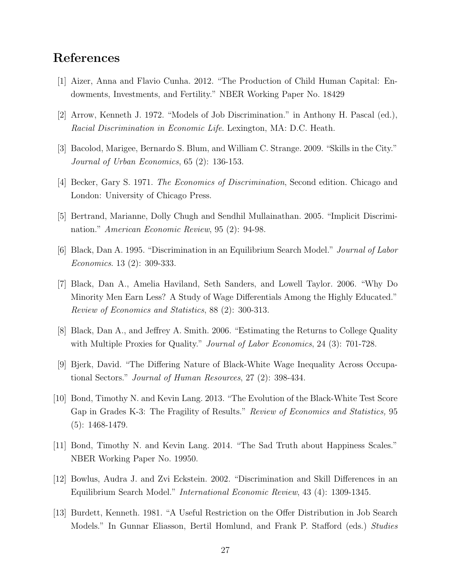# References

- [1] Aizer, Anna and Flavio Cunha. 2012. "The Production of Child Human Capital: Endowments, Investments, and Fertility." NBER Working Paper No. 18429
- [2] Arrow, Kenneth J. 1972. "Models of Job Discrimination." in Anthony H. Pascal (ed.), Racial Discrimination in Economic Life. Lexington, MA: D.C. Heath.
- [3] Bacolod, Marigee, Bernardo S. Blum, and William C. Strange. 2009. "Skills in the City." Journal of Urban Economics, 65 (2): 136-153.
- [4] Becker, Gary S. 1971. The Economics of Discrimination, Second edition. Chicago and London: University of Chicago Press.
- [5] Bertrand, Marianne, Dolly Chugh and Sendhil Mullainathan. 2005. "Implicit Discrimination." American Economic Review, 95 (2): 94-98.
- [6] Black, Dan A. 1995. "Discrimination in an Equilibrium Search Model." Journal of Labor Economics. 13 (2): 309-333.
- [7] Black, Dan A., Amelia Haviland, Seth Sanders, and Lowell Taylor. 2006. "Why Do Minority Men Earn Less? A Study of Wage Differentials Among the Highly Educated." Review of Economics and Statistics, 88 (2): 300-313.
- [8] Black, Dan A., and Jeffrey A. Smith. 2006. "Estimating the Returns to College Quality with Multiple Proxies for Quality." *Journal of Labor Economics*, 24 (3): 701-728.
- [9] Bjerk, David. "The Differing Nature of Black-White Wage Inequality Across Occupational Sectors." Journal of Human Resources, 27 (2): 398-434.
- [10] Bond, Timothy N. and Kevin Lang. 2013. "The Evolution of the Black-White Test Score Gap in Grades K-3: The Fragility of Results." Review of Economics and Statistics, 95 (5): 1468-1479.
- [11] Bond, Timothy N. and Kevin Lang. 2014. "The Sad Truth about Happiness Scales." NBER Working Paper No. 19950.
- [12] Bowlus, Audra J. and Zvi Eckstein. 2002. "Discrimination and Skill Differences in an Equilibrium Search Model." International Economic Review, 43 (4): 1309-1345.
- [13] Burdett, Kenneth. 1981. "A Useful Restriction on the Offer Distribution in Job Search Models." In Gunnar Eliasson, Bertil Homlund, and Frank P. Stafford (eds.) Studies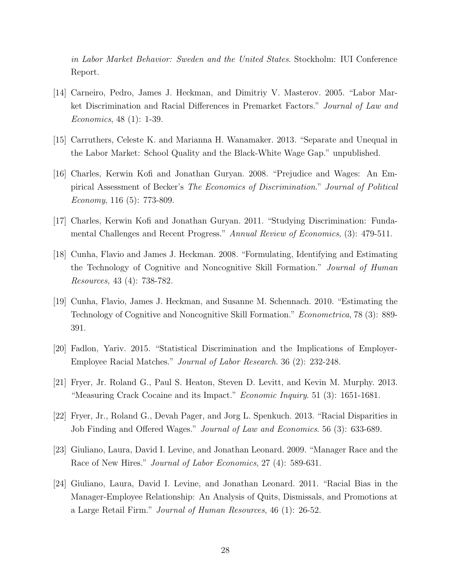in Labor Market Behavior: Sweden and the United States. Stockholm: IUI Conference Report.

- [14] Carneiro, Pedro, James J. Heckman, and Dimitriy V. Masterov. 2005. "Labor Market Discrimination and Racial Differences in Premarket Factors." Journal of Law and Economics, 48 (1): 1-39.
- [15] Carruthers, Celeste K. and Marianna H. Wanamaker. 2013. "Separate and Unequal in the Labor Market: School Quality and the Black-White Wage Gap." unpublished.
- [16] Charles, Kerwin Kofi and Jonathan Guryan. 2008. "Prejudice and Wages: An Empirical Assessment of Becker's The Economics of Discrimination." Journal of Political Economy, 116 (5): 773-809.
- [17] Charles, Kerwin Kofi and Jonathan Guryan. 2011. "Studying Discrimination: Fundamental Challenges and Recent Progress." Annual Review of Economics, (3): 479-511.
- [18] Cunha, Flavio and James J. Heckman. 2008. "Formulating, Identifying and Estimating the Technology of Cognitive and Noncognitive Skill Formation." Journal of Human Resources, 43 (4): 738-782.
- [19] Cunha, Flavio, James J. Heckman, and Susanne M. Schennach. 2010. "Estimating the Technology of Cognitive and Noncognitive Skill Formation." Econometrica, 78 (3): 889- 391.
- [20] Fadlon, Yariv. 2015. "Statistical Discrimination and the Implications of Employer-Employee Racial Matches." Journal of Labor Research. 36 (2): 232-248.
- [21] Fryer, Jr. Roland G., Paul S. Heaton, Steven D. Levitt, and Kevin M. Murphy. 2013. "Measuring Crack Cocaine and its Impact." Economic Inquiry. 51 (3): 1651-1681.
- [22] Fryer, Jr., Roland G., Devah Pager, and Jorg L. Spenkuch. 2013. "Racial Disparities in Job Finding and Offered Wages." Journal of Law and Economics. 56 (3): 633-689.
- [23] Giuliano, Laura, David I. Levine, and Jonathan Leonard. 2009. "Manager Race and the Race of New Hires." *Journal of Labor Economics*, 27 (4): 589-631.
- [24] Giuliano, Laura, David I. Levine, and Jonathan Leonard. 2011. "Racial Bias in the Manager-Employee Relationship: An Analysis of Quits, Dismissals, and Promotions at a Large Retail Firm." Journal of Human Resources, 46 (1): 26-52.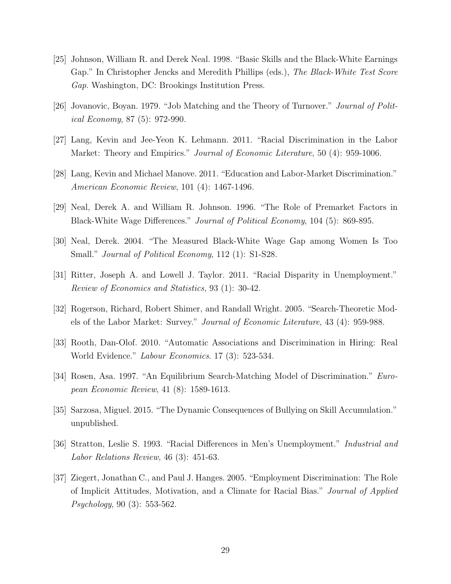- [25] Johnson, William R. and Derek Neal. 1998. "Basic Skills and the Black-White Earnings Gap." In Christopher Jencks and Meredith Phillips (eds.), The Black-White Test Score Gap. Washington, DC: Brookings Institution Press.
- [26] Jovanovic, Boyan. 1979. "Job Matching and the Theory of Turnover." Journal of Political Economy, 87 (5): 972-990.
- [27] Lang, Kevin and Jee-Yeon K. Lehmann. 2011. "Racial Discrimination in the Labor Market: Theory and Empirics." *Journal of Economic Literature*, 50 (4): 959-1006.
- [28] Lang, Kevin and Michael Manove. 2011. "Education and Labor-Market Discrimination." American Economic Review, 101 (4): 1467-1496.
- [29] Neal, Derek A. and William R. Johnson. 1996. "The Role of Premarket Factors in Black-White Wage Differences." Journal of Political Economy, 104 (5): 869-895.
- [30] Neal, Derek. 2004. "The Measured Black-White Wage Gap among Women Is Too Small." *Journal of Political Economy*, 112 (1): S1-S28.
- [31] Ritter, Joseph A. and Lowell J. Taylor. 2011. "Racial Disparity in Unemployment." Review of Economics and Statistics, 93 (1): 30-42.
- [32] Rogerson, Richard, Robert Shimer, and Randall Wright. 2005. "Search-Theoretic Models of the Labor Market: Survey." Journal of Economic Literature, 43 (4): 959-988.
- [33] Rooth, Dan-Olof. 2010. "Automatic Associations and Discrimination in Hiring: Real World Evidence." Labour Economics. 17 (3): 523-534.
- [34] Rosen, Asa. 1997. "An Equilibrium Search-Matching Model of Discrimination." European Economic Review, 41 (8): 1589-1613.
- [35] Sarzosa, Miguel. 2015. "The Dynamic Consequences of Bullying on Skill Accumulation." unpublished.
- [36] Stratton, Leslie S. 1993. "Racial Differences in Men's Unemployment." Industrial and Labor Relations Review, 46 (3): 451-63.
- [37] Ziegert, Jonathan C., and Paul J. Hanges. 2005. "Employment Discrimination: The Role of Implicit Attitudes, Motivation, and a Climate for Racial Bias." Journal of Applied Psychology, 90 (3): 553-562.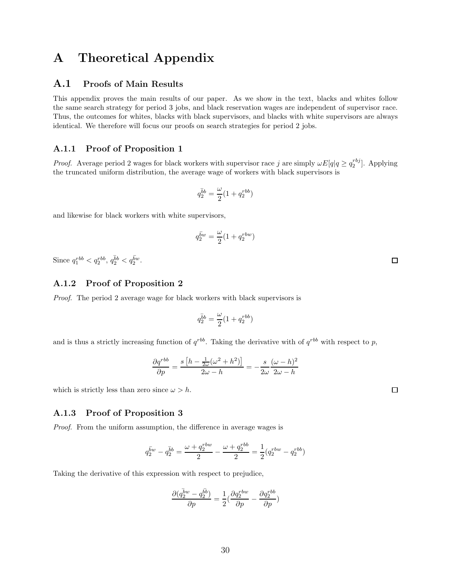# A Theoretical Appendix

## A.1 Proofs of Main Results

This appendix proves the main results of our paper. As we show in the text, blacks and whites follow the same search strategy for period 3 jobs, and black reservation wages are independent of supervisor race. Thus, the outcomes for whites, blacks with black supervisors, and blacks with white supervisors are always identical. We therefore will focus our proofs on search strategies for period 2 jobs.

#### A.1.1 Proof of Proposition 1

*Proof.* Average period 2 wages for black workers with supervisor race j are simply  $\omega E[q] \ge q_2^{rbj}$ . Applying the truncated uniform distribution, the average wage of workers with black supervisors is

$$
q_2^{\bar{b}b}=\frac{\omega}{2}(1+q_2^{rbb})
$$

and likewise for black workers with white supervisors,

$$
q_2^{\bar{b}w} = \frac{\omega}{2}(1 + q_2^{rbw})
$$

Since  $q_1^{rbb} < q_2^{rbb}, q_2^{\bar{b}b} < q_2^{\bar{b}w}$ .

### A.1.2 Proof of Proposition 2

Proof. The period 2 average wage for black workers with black supervisors is

$$
q_2^{\bar{b}b} = \frac{\omega}{2}(1+q_2^{rbb})
$$

and is thus a strictly increasing function of  $q^{rbb}$ . Taking the derivative with of  $q^{rbb}$  with respect to p,

$$
\frac{\partial q^{rbb}}{\partial p} = \frac{s\left[h - \frac{1}{2\omega}(\omega^2 + h^2)\right]}{2\omega - h} = -\frac{s}{2\omega} \frac{(\omega - h)^2}{2\omega - h}
$$

which is strictly less than zero since  $\omega > h$ .

### A.1.3 Proof of Proposition 3

Proof. From the uniform assumption, the difference in average wages is

$$
q_2^{\bar{b}w} - q_2^{\bar{b}b} = \frac{\omega + q_2^{rbw}}{2} - \frac{\omega + q_2^{rbb}}{2} = \frac{1}{2}(q_2^{rbw} - q_2^{rbb})
$$

Taking the derivative of this expression with respect to prejudice,

$$
\frac{\partial (\bar{q_2^{bw}}-q_2^{\bar{b}\bar{b}})}{\partial p} = \frac{1}{2}(\frac{\partial q_2^{rbw}}{\partial p}-\frac{\partial q_2^{rbb}}{\partial p})
$$

 $\Box$ 

 $\Box$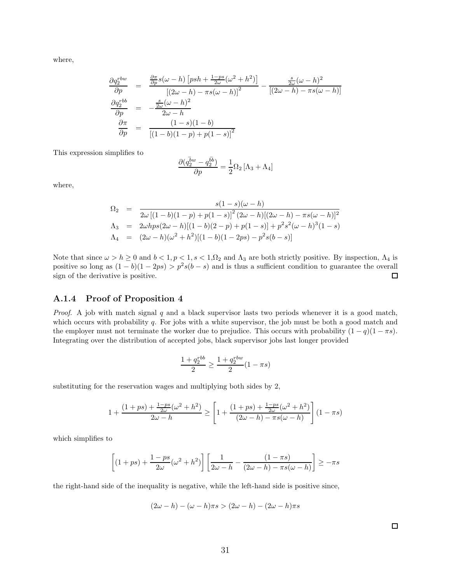where,

$$
\frac{\partial q_2^{rbw}}{\partial p} = \frac{\frac{\partial \pi}{\partial p} s(\omega - h) \left[ psh + \frac{1 - ps}{2\omega}(\omega^2 + h^2) \right]}{\left[ (2\omega - h) - \pi s(\omega - h) \right]^2} - \frac{\frac{s}{2\omega}(\omega - h)^2}{\left[ (2\omega - h) - \pi s(\omega - h) \right]}
$$

$$
\frac{\partial q_2^{rbb}}{\partial p} = -\frac{\frac{s}{2\omega}(\omega - h)^2}{2\omega - h}
$$

$$
\frac{\partial \pi}{\partial p} = \frac{(1 - s)(1 - b)}{\left[ (1 - b)(1 - p) + p(1 - s) \right]^2}
$$

This expression simplifies to

$$
\frac{\partial (\bar{q_2^{bw}}-q_2^{\bar{b}\bar{b}})}{\partial p}=\frac{1}{2}\Omega _2\left[ \Lambda _3+\Lambda _4\right]
$$

where,

$$
\Omega_2 = \frac{s(1-s)(\omega - h)}{2\omega[(1-b)(1-p) + p(1-s)]^2(2\omega - h)[(2\omega - h) - \pi s(\omega - h)]^2}
$$
  
\n
$$
\Lambda_3 = 2\omega hps(2\omega - h)[(1-b)(2-p) + p(1-s)] + p^2 s^2 (\omega - h)^3 (1-s)
$$
  
\n
$$
\Lambda_4 = (2\omega - h)(\omega^2 + h^2)[(1-b)(1-2ps) - p^2 s(b-s)]
$$

Note that since  $\omega > h \geq 0$  and  $b < 1, p < 1, s < 1, \Omega_2$  and  $\Lambda_3$  are both strictly positive. By inspection,  $\Lambda_4$  is positive so long as  $(1 - b)(1 - 2ps) > p^2s(b - s)$  and is thus a sufficient condition to guarantee the overall sign of the derivative is positive.  $\Box$ 

#### A.1.4 Proof of Proposition 4

*Proof.* A job with match signal q and a black supervisor lasts two periods whenever it is a good match, which occurs with probability q. For jobs with a white supervisor, the job must be both a good match and the employer must not terminate the worker due to prejudice. This occurs with probability  $(1 - q)(1 - \pi s)$ . Integrating over the distribution of accepted jobs, black supervisor jobs last longer provided

$$
\frac{1+q_2^{rbb}}{2} \ge \frac{1+q_2^{rbw}}{2}(1-\pi s)
$$

substituting for the reservation wages and multiplying both sides by 2,

$$
1 + \frac{(1+ps) + \frac{1-ps}{2\omega}(\omega^2 + h^2)}{2\omega - h} \ge \left[1 + \frac{(1+ps) + \frac{1-ps}{2\omega}(\omega^2 + h^2)}{(2\omega - h) - \pi s(\omega - h)}\right] (1 - \pi s)
$$

which simplifies to

$$
\left[ (1+ps) + \frac{1-ps}{2\omega}(\omega^2 + h^2) \right] \left[ \frac{1}{2\omega - h} - \frac{(1-\pi s)}{(2\omega - h) - \pi s(\omega - h)} \right] \ge -\pi s
$$

the right-hand side of the inequality is negative, while the left-hand side is positive since,

$$
(2\omega - h) - (\omega - h)\pi s > (2\omega - h) - (2\omega - h)\pi s
$$

 $\Box$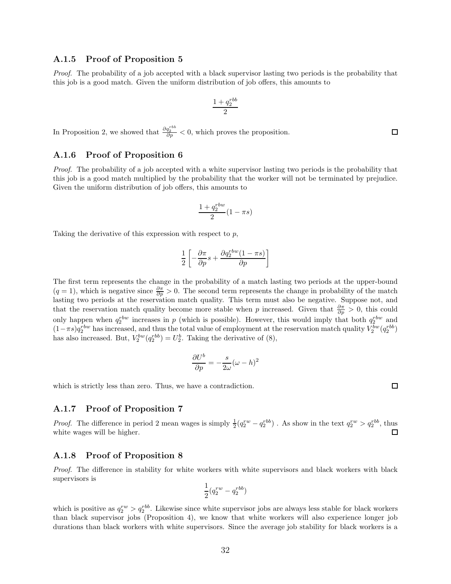#### A.1.5 Proof of Proposition 5

Proof. The probability of a job accepted with a black supervisor lasting two periods is the probability that this job is a good match. Given the uniform distribution of job offers, this amounts to

$$
\frac{1+q_2^{rbb}}{2}
$$

In Proposition 2, we showed that  $\frac{\partial q_2^{rbb}}{\partial p} < 0$ , which proves the proposition.

#### A.1.6 Proof of Proposition 6

Proof. The probability of a job accepted with a white supervisor lasting two periods is the probability that this job is a good match multiplied by the probability that the worker will not be terminated by prejudice. Given the uniform distribution of job offers, this amounts to

$$
\frac{1+q_2^{rbw}}{2}(1-\pi s)
$$

Taking the derivative of this expression with respect to p,

$$
\frac{1}{2}\left[-\frac{\partial\pi}{\partial p}s+\frac{\partial q_2^{rbw}(1-\pi s)}{\partial p}\right]
$$

The first term represents the change in the probability of a match lasting two periods at the upper-bound  $(q = 1)$ , which is negative since  $\frac{\partial \pi}{\partial p} > 0$ . The second term represents the change in probability of the match lasting two periods at the reservation match quality. This term must also be negative. Suppose not, and that the reservation match quality become more stable when p increased. Given that  $\frac{\partial \pi}{\partial p} > 0$ , this could only happen when  $q_2^{rbw}$  increases in p (which is possible). However, this would imply that both  $q_2^{rbw}$  and  $(1-\pi s)q_2^{rbw}$  has increased, and thus the total value of employment at the reservation match quality  $V_2^{bw}(q_2^{rbb})$ has also increased. But,  $V_2^{bw}(q_2^{rb}) = U_2^b$ . Taking the derivative of (8),

$$
\frac{\partial U^b}{\partial p} = -\frac{s}{2\omega}(\omega - h)^2
$$

which is strictly less than zero. Thus, we have a contradiction.

#### A.1.7 Proof of Proposition 7

*Proof.* The difference in period 2 mean wages is simply  $\frac{1}{2}(q_2^{rw} - q_2^{rb})$ . As show in the text  $q_2^{rw} > q_2^{rb}$ , thus white wages will be higher.  $\Box$ 

#### A.1.8 Proof of Proposition 8

Proof. The difference in stability for white workers with white supervisors and black workers with black supervisors is

$$
\frac{1}{2}(q_2^{rw}-q_2^{rbb})
$$

which is positive as  $q_2^{rw} > q_2^{rbb}$ . Likewise since white supervisor jobs are always less stable for black workers than black supervisor jobs (Proposition 4), we know that white workers will also experience longer job durations than black workers with white supervisors. Since the average job stability for black workers is a

 $\Box$ 

 $\Box$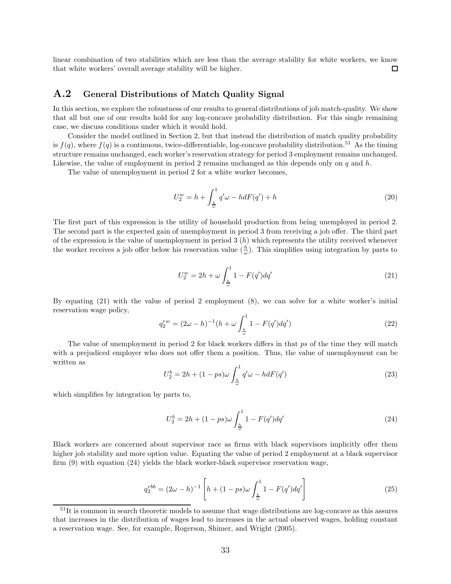linear combination of two stabilities which are less than the average stability for white workers, we know that white workers' overall average stability will be higher.  $\Box$ 

## A.2 General Distributions of Match Quality Signal

In this section, we explore the robustness of our results to general distributions of job match-quality. We show that all but one of our results hold for any log-concave probability distribution. For this single remaining case, we discuss conditions under which it would hold.

Consider the model outlined in Section 2, but that instead the distribution of match quality probability is  $f(q)$ , where  $f(q)$  is a continuous, twice-differentiable, log-concave probability distribution.<sup>51</sup> As the timing structure remains unchanged, each worker's reservation strategy for period 3 employment remains unchanged. Likewise, the value of employment in period 2 remains unchanged as this depends only on q and  $h$ .

The value of unemployment in period 2 for a white worker becomes,

$$
U_2^w = h + \int_{\frac{h}{\omega}}^1 q' \omega - h dF(q') + h \tag{20}
$$

The first part of this expression is the utility of household production from being unemployed in period 2. The second part is the expected gain of unemployment in period 3 from receiving a job offer. The third part of the expression is the value of unemployment in period  $3(h)$  which represents the utility received whenever the worker receives a job offer below his reservation value  $(\frac{h}{\omega})$ . This simplifies using integration by parts to

$$
U_2^w = 2h + \omega \int_{\frac{h}{\omega}}^1 1 - F(q')dq' \tag{21}
$$

By equating (21) with the value of period 2 employment (8), we can solve for a white worker's initial reservation wage policy,

$$
q_2^{rw} = (2\omega - h)^{-1} (h + \omega \int_{\frac{h}{\omega}}^1 1 - F(q') dq')
$$
 (22)

The value of unemployment in period 2 for black workers differs in that ps of the time they will match with a prejudiced employer who does not offer them a position. Thus, the value of unemployment can be written as

$$
U_2^b = 2h + (1 - ps)\omega \int_{\frac{h}{\omega}}^1 q'\omega - h dF(q')
$$
\n(23)

which simplifies by integration by parts to,

$$
U_2^b = 2h + (1 - ps)\omega \int_{\frac{h}{\omega}}^1 1 - F(q')dq' \tag{24}
$$

Black workers are concerned about supervisor race as firms with black supervisors implicitly offer them higher job stability and more option value. Equating the value of period 2 employment at a black supervisor firm (9) with equation (24) yields the black worker-black supervisor reservation wage,

$$
q_2^{rbb} = (2\omega - h)^{-1} \left[ h + (1 - ps)\omega \int_{\frac{h}{\omega}}^1 1 - F(q')dq' \right]
$$
 (25)

<sup>51</sup>It is common in search theoretic models to assume that wage distributions are log-concave as this assures that increases in the distribution of wages lead to increases in the actual observed wages, holding constant a reservation wage. See, for example, Rogerson, Shimer, and Wright (2005).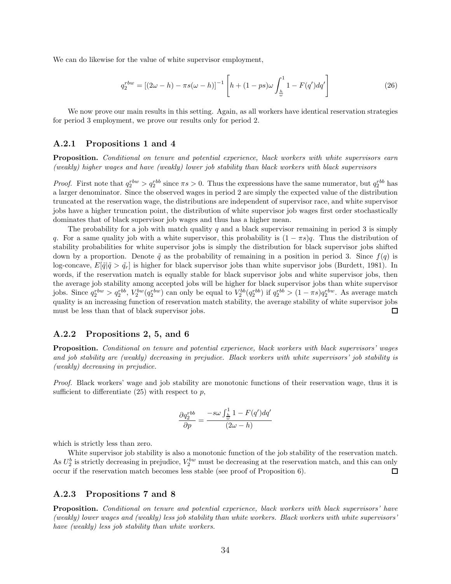We can do likewise for the value of white supervisor employment,

$$
q_2^{rbw} = [(2\omega - h) - \pi s(\omega - h)]^{-1} \left[ h + (1 - ps)\omega \int_{\frac{h}{\omega}}^1 1 - F(q')dq' \right]
$$
 (26)

We now prove our main results in this setting. Again, as all workers have identical reservation strategies for period 3 employment, we prove our results only for period 2.

#### A.2.1 Propositions 1 and 4

Proposition. Conditional on tenure and potential experience, black workers with white supervisors earn (weakly) higher wages and have (weakly) lower job stability than black workers with black supervisors

*Proof.* First note that  $q_2^{rbw} > q_2^{rbb}$  since  $\pi s > 0$ . Thus the expressions have the same numerator, but  $q_2^{rbb}$  has a larger denominator. Since the observed wages in period 2 are simply the expected value of the distribution truncated at the reservation wage, the distributions are independent of supervisor race, and white supervisor jobs have a higher truncation point, the distribution of white supervisor job wages first order stochastically dominates that of black supervisor job wages and thus has a higher mean.

The probability for a job with match quality q and a black supervisor remaining in period 3 is simply q. For a same quality job with a white supervisor, this probability is  $(1 - \pi s)q$ . Thus the distribution of stability probabilities for white supervisor jobs is simply the distribution for black supervisor jobs shifted down by a proportion. Denote  $\tilde{q}$  as the probability of remaining in a position in period 3. Since  $f(q)$  is log-concave,  $E[\tilde{q}|\tilde{q} > \tilde{q}_r]$  is higher for black supervisor jobs than white supervisor jobs (Burdett, 1981). In words, if the reservation match is equally stable for black supervisor jobs and white supervisor jobs, then the average job stability among accepted jobs will be higher for black supervisor jobs than white supervisor jobs. Since  $q_2^{rbw} > q_2^{rbb}$ ,  $V_2^{bw}(q_2^{rbw})$  can only be equal to  $V_2^{bb}(q_2^{rbb})$  if  $q_2^{rbb} > (1 - \pi s)q_2^{rbw}$ . As average match quality is an increasing function of reservation match stability, the average stability of white supervisor jobs must be less than that of black supervisor jobs.  $\Box$ 

### A.2.2 Propositions 2, 5, and 6

Proposition. Conditional on tenure and potential experience, black workers with black supervisors' wages and job stability are (weakly) decreasing in prejudice. Black workers with white supervisors' job stability is (weakly) decreasing in prejudice.

Proof. Black workers' wage and job stability are monotonic functions of their reservation wage, thus it is sufficient to differentiate  $(25)$  with respect to p,

$$
\frac{\partial q_2^{rbb}}{\partial p} = \frac{-s\omega \int_{\frac{h}{\omega}}^1 1 - F(q')dq'}{(2\omega - h)}
$$

which is strictly less than zero.

White supervisor job stability is also a monotonic function of the job stability of the reservation match. As  $U_2^b$  is strictly decreasing in prejudice,  $V_2^{bw}$  must be decreasing at the reservation match, and this can only occur if the reservation match becomes less stable (see proof of Proposition 6).  $\Box$ 

#### A.2.3 Propositions 7 and 8

Proposition. Conditional on tenure and potential experience, black workers with black supervisors' have (weakly) lower wages and (weakly) less job stability than white workers. Black workers with white supervisors' have (weakly) less job stability than white workers.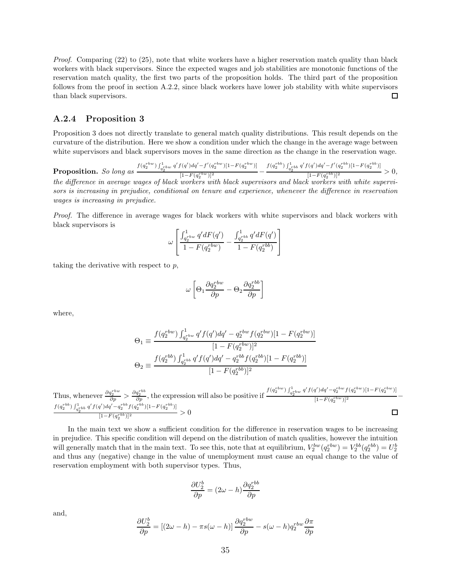Proof. Comparing (22) to (25), note that white workers have a higher reservation match quality than black workers with black supervisors. Since the expected wages and job stabilities are monotonic functions of the reservation match quality, the first two parts of the proposition holds. The third part of the proposition follows from the proof in section A.2.2, since black workers have lower job stability with white supervisors than black supervisors.  $\Box$ 

#### A.2.4 Proposition 3

Proposition 3 does not directly translate to general match quality distributions. This result depends on the curvature of the distribution. Here we show a condition under which the change in the average wage between white supervisors and black supervisors moves in the same direction as the change in the reservation wage.

**Proposition.** So long as  $\frac{f(q_2^{rbw})\int_{q_2^{rbw}}^{1} q'(q')dq' - f'(q_2^{rbw})[1 - F(q_2^{rbw})]}{[1 - F(a_2^{rbw})]^2}$  $\frac{f(q') dq' - f'(q_2^{rbw})[1 - F(q_2^{rbw})]}{[1 - F(q_2^{rbw})]^2} - \frac{f(q_2^{rbb}) \int_{q_2^{rbb}}^{1} q' f(q') dq' - f'(q_2^{rbb})[1 - F(q_2^{rbb})]}{[1 - F(q_2^{rbb})]^2}$  $\frac{(1-F(q_2^{rb})^2)^2}{(1-F(q_2^{rb})^2)^2} > 0,$ the difference in average wages of black workers with black supervisors and black workers with white supervi-

sors is increasing in prejudice, conditional on tenure and experience, whenever the difference in reservation wages is increasing in prejudice.

Proof. The difference in average wages for black workers with white supervisors and black workers with black supervisors is

$$
\omega \left[ \frac{\int_{q_2^{rbw}}^{1} q' dF(q')}{1 - F(q_2^{rbw})} - \frac{\int_{q_2^{rbb}}^{1} q' dF(q')}{1 - F(q_2^{rb})} \right]
$$

taking the derivative with respect to  $p$ ,

$$
\omega \left[ \Theta_1 \frac{\partial q_2^{rbw}}{\partial p} - \Theta_2 \frac{\partial q_2^{rbb}}{\partial p} \right]
$$

where,

$$
\Theta_1 \equiv \frac{f(q_2^{rbw}) \int_{q_2^{rbw}}^{1} q' f(q') dq' - q_2^{rbw} f(q_2^{rbw}) [1 - F(q_2^{rbw})]}{[1 - F(q_2^{rbw})]^2}
$$

$$
\Theta_2 \equiv \frac{f(q_2^{rbb}) \int_{q_2^{rbb}}^{1} q' f(q') dq' - q_2^{rbb} f(q_2^{rbb}) [1 - F(q_2^{rbb})]}{[1 - F(q_2^{rbb})]^2}
$$

Thus, whenever 
$$
\frac{\partial q_2^{rbw}}{\partial p} > \frac{\partial q_2^{rbb}}{\partial p}
$$
, the expression will also be positive if  $\frac{f(q_2^{rbw}) \int_{q_2^{rbw}}^1 q'(q') dq' - q_2^{rbw} f(q_2^{rbw})[1 - F(q_2^{rbw})]}{[1 - F(q_2^{rbw})]^2}$   
\n $\frac{f(q_2^{rbb}) \int_{q_2^{rbb}}^1 q'(q') dq' - q_2^{rbb} f(q_2^{rbb})[1 - F(q_2^{rbb})]}{[1 - F(q_2^{rbb})]^2} > 0$ 

In the main text we show a sufficient condition for the difference in reservation wages to be increasing in prejudice. This specific condition will depend on the distribution of match qualities, however the intuition will generally match that in the main text. To see this, note that at equilibrium,  $V_2^{bw}(q_2^{rbw}) = V_2^{bb}(q_2^{rbb}) = U_2^{bb}(q_2^{rbw})$ and thus any (negative) change in the value of unemployment must cause an equal change to the value of reservation employment with both supervisor types. Thus,

$$
\frac{\partial U_2^b}{\partial p} = (2\omega - h) \frac{\partial q_2^{rbb}}{\partial p}
$$

and,

$$
\frac{\partial U_2^b}{\partial p} = \left[ (2\omega - h) - \pi s(\omega - h) \right] \frac{\partial q_2^{rbw}}{\partial p} - s(\omega - h) q_2^{rbw} \frac{\partial \pi}{\partial p}
$$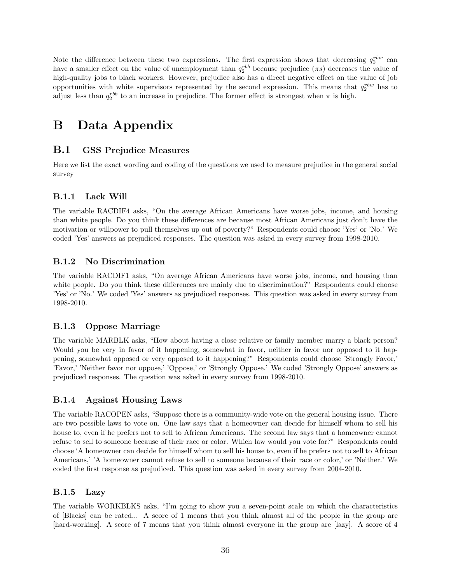Note the difference between these two expressions. The first expression shows that decreasing  $q_2^{rbw}$  can have a smaller effect on the value of unemployment than  $q_2^{rbb}$  because prejudice  $(\pi s)$  decreases the value of high-quality jobs to black workers. However, prejudice also has a direct negative effect on the value of job opportunities with white supervisors represented by the second expression. This means that  $q_2^{rbw}$  has to adjust less than  $q_2^{rbb}$  to an increase in prejudice. The former effect is strongest when  $\pi$  is high.

# B Data Appendix

## B.1 GSS Prejudice Measures

Here we list the exact wording and coding of the questions we used to measure prejudice in the general social survey

## B.1.1 Lack Will

The variable RACDIF4 asks, "On the average African Americans have worse jobs, income, and housing than white people. Do you think these differences are because most African Americans just don't have the motivation or willpower to pull themselves up out of poverty?" Respondents could choose 'Yes' or 'No.' We coded 'Yes' answers as prejudiced responses. The question was asked in every survey from 1998-2010.

### B.1.2 No Discrimination

The variable RACDIF1 asks, "On average African Americans have worse jobs, income, and housing than white people. Do you think these differences are mainly due to discrimination?" Respondents could choose 'Yes' or 'No.' We coded 'Yes' answers as prejudiced responses. This question was asked in every survey from 1998-2010.

### B.1.3 Oppose Marriage

The variable MARBLK asks, "How about having a close relative or family member marry a black person? Would you be very in favor of it happening, somewhat in favor, neither in favor nor opposed to it happening, somewhat opposed or very opposed to it happening?" Respondents could choose 'Strongly Favor,' 'Favor,' 'Neither favor nor oppose,' 'Oppose,' or 'Strongly Oppose.' We coded 'Strongly Oppose' answers as prejudiced responses. The question was asked in every survey from 1998-2010.

## B.1.4 Against Housing Laws

The variable RACOPEN asks, "Suppose there is a community-wide vote on the general housing issue. There are two possible laws to vote on. One law says that a homeowner can decide for himself whom to sell his house to, even if he prefers not to sell to African Americans. The second law says that a homeowner cannot refuse to sell to someone because of their race or color. Which law would you vote for?" Respondents could choose 'A homeowner can decide for himself whom to sell his house to, even if he prefers not to sell to African Americans,' 'A homeowner cannot refuse to sell to someone because of their race or color,' or 'Neither.' We coded the first response as prejudiced. This question was asked in every survey from 2004-2010.

### B.1.5 Lazy

The variable WORKBLKS asks, "I'm going to show you a seven-point scale on which the characteristics of [Blacks] can be rated... A score of 1 means that you think almost all of the people in the group are [hard-working]. A score of 7 means that you think almost everyone in the group are [lazy]. A score of 4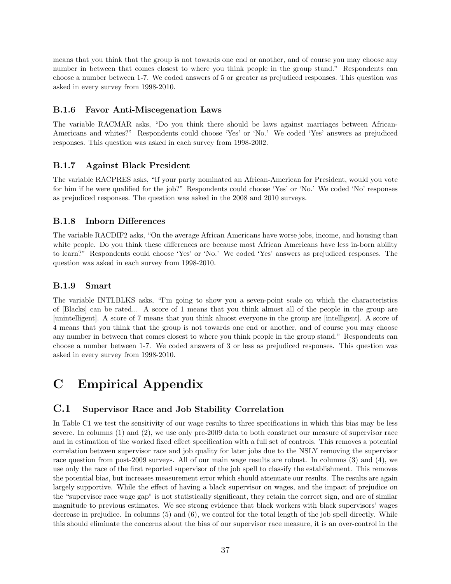means that you think that the group is not towards one end or another, and of course you may choose any number in between that comes closest to where you think people in the group stand." Respondents can choose a number between 1-7. We coded answers of 5 or greater as prejudiced responses. This question was asked in every survey from 1998-2010.

### B.1.6 Favor Anti-Miscegenation Laws

The variable RACMAR asks, "Do you think there should be laws against marriages between African-Americans and whites?" Respondents could choose 'Yes' or 'No.' We coded 'Yes' answers as prejudiced responses. This question was asked in each survey from 1998-2002.

### B.1.7 Against Black President

The variable RACPRES asks, "If your party nominated an African-American for President, would you vote for him if he were qualified for the job?" Respondents could choose 'Yes' or 'No.' We coded 'No' responses as prejudiced responses. The question was asked in the 2008 and 2010 surveys.

### B.1.8 Inborn Differences

The variable RACDIF2 asks, "On the average African Americans have worse jobs, income, and housing than white people. Do you think these differences are because most African Americans have less in-born ability to learn?" Respondents could choose 'Yes' or 'No.' We coded 'Yes' answers as prejudiced responses. The question was asked in each survey from 1998-2010.

### B.1.9 Smart

The variable INTLBLKS asks, "I'm going to show you a seven-point scale on which the characteristics of [Blacks] can be rated... A score of 1 means that you think almost all of the people in the group are [unintelligent]. A score of 7 means that you think almost everyone in the group are [intelligent]. A score of 4 means that you think that the group is not towards one end or another, and of course you may choose any number in between that comes closest to where you think people in the group stand." Respondents can choose a number between 1-7. We coded answers of 3 or less as prejudiced responses. This question was asked in every survey from 1998-2010.

# C Empirical Appendix

# C.1 Supervisor Race and Job Stability Correlation

In Table C1 we test the sensitivity of our wage results to three specifications in which this bias may be less severe. In columns (1) and (2), we use only pre-2009 data to both construct our measure of supervisor race and in estimation of the worked fixed effect specification with a full set of controls. This removes a potential correlation between supervisor race and job quality for later jobs due to the NSLY removing the supervisor race question from post-2009 surveys. All of our main wage results are robust. In columns (3) and (4), we use only the race of the first reported supervisor of the job spell to classify the establishment. This removes the potential bias, but increases measurement error which should attenuate our results. The results are again largely supportive. While the effect of having a black supervisor on wages, and the impact of prejudice on the "supervisor race wage gap" is not statistically significant, they retain the correct sign, and are of similar magnitude to previous estimates. We see strong evidence that black workers with black supervisors' wages decrease in prejudice. In columns (5) and (6), we control for the total length of the job spell directly. While this should eliminate the concerns about the bias of our supervisor race measure, it is an over-control in the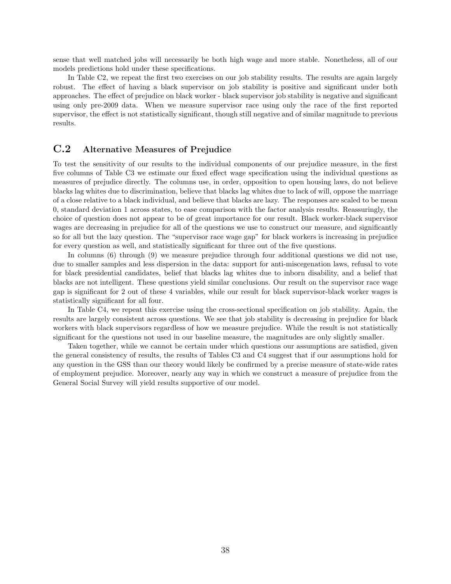sense that well matched jobs will necessarily be both high wage and more stable. Nonetheless, all of our models predictions hold under these specifications.

In Table C2, we repeat the first two exercises on our job stability results. The results are again largely robust. The effect of having a black supervisor on job stability is positive and significant under both approaches. The effect of prejudice on black worker - black supervisor job stability is negative and significant using only pre-2009 data. When we measure supervisor race using only the race of the first reported supervisor, the effect is not statistically significant, though still negative and of similar magnitude to previous results.

# C.2 Alternative Measures of Prejudice

To test the sensitivity of our results to the individual components of our prejudice measure, in the first five columns of Table C3 we estimate our fixed effect wage specification using the individual questions as measures of prejudice directly. The columns use, in order, opposition to open housing laws, do not believe blacks lag whites due to discrimination, believe that blacks lag whites due to lack of will, oppose the marriage of a close relative to a black individual, and believe that blacks are lazy. The responses are scaled to be mean 0, standard deviation 1 across states, to ease comparison with the factor analysis results. Reassuringly, the choice of question does not appear to be of great importance for our result. Black worker-black supervisor wages are decreasing in prejudice for all of the questions we use to construct our measure, and significantly so for all but the lazy question. The "supervisor race wage gap" for black workers is increasing in prejudice for every question as well, and statistically significant for three out of the five questions.

In columns (6) through (9) we measure prejudice through four additional questions we did not use, due to smaller samples and less dispersion in the data: support for anti-miscegenation laws, refusal to vote for black presidential candidates, belief that blacks lag whites due to inborn disability, and a belief that blacks are not intelligent. These questions yield similar conclusions. Our result on the supervisor race wage gap is significant for 2 out of these 4 variables, while our result for black supervisor-black worker wages is statistically significant for all four.

In Table C4, we repeat this exercise using the cross-sectional specification on job stability. Again, the results are largely consistent across questions. We see that job stability is decreasing in prejudice for black workers with black supervisors regardless of how we measure prejudice. While the result is not statistically significant for the questions not used in our baseline measure, the magnitudes are only slightly smaller.

Taken together, while we cannot be certain under which questions our assumptions are satisfied, given the general consistency of results, the results of Tables C3 and C4 suggest that if our assumptions hold for any question in the GSS than our theory would likely be confirmed by a precise measure of state-wide rates of employment prejudice. Moreover, nearly any way in which we construct a measure of prejudice from the General Social Survey will yield results supportive of our model.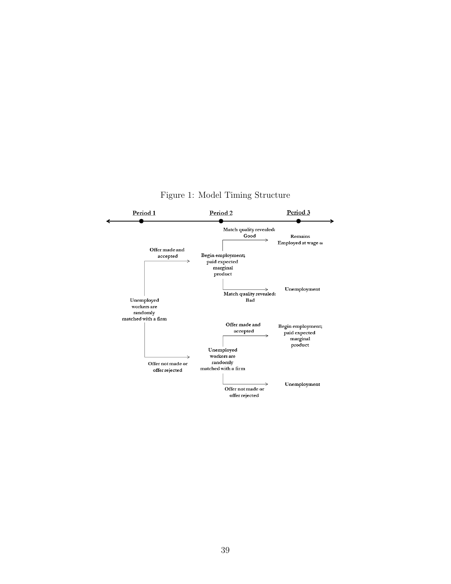

Figure 1: Model Timing Structure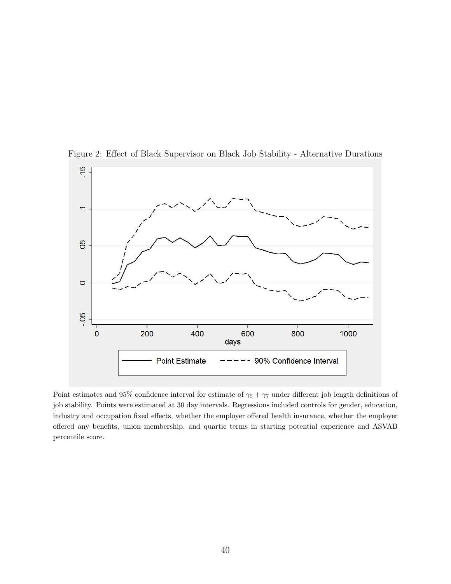

Figure 2: Effect of Black Supervisor on Black Job Stability - Alternative Durations

Point estimates and 95% confidence interval for estimate of  $\gamma_5 + \gamma_7$  under different job length definitions of job stability. Points were estimated at 30 day intervals. Regressions included controls for gender, education, industry and occupation fixed effects, whether the employer offered health insurance, whether the employer offered any benefits, union membership, and quartic terms in starting potential experience and ASVAB percentile score.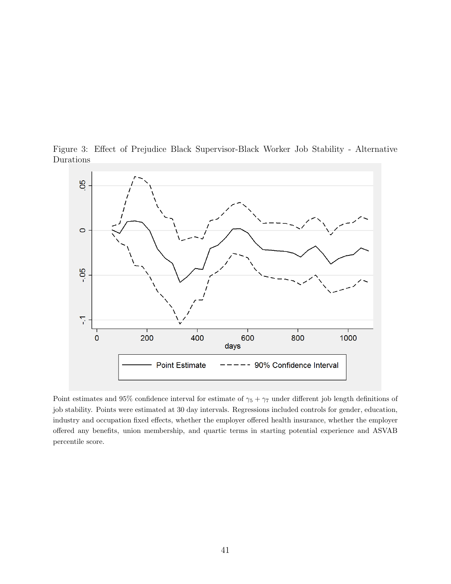Figure 3: Effect of Prejudice Black Supervisor-Black Worker Job Stability - Alternative Durations



Point estimates and 95% confidence interval for estimate of  $\gamma_5 + \gamma_7$  under different job length definitions of job stability. Points were estimated at 30 day intervals. Regressions included controls for gender, education, industry and occupation fixed effects, whether the employer offered health insurance, whether the employer offered any benefits, union membership, and quartic terms in starting potential experience and ASVAB percentile score.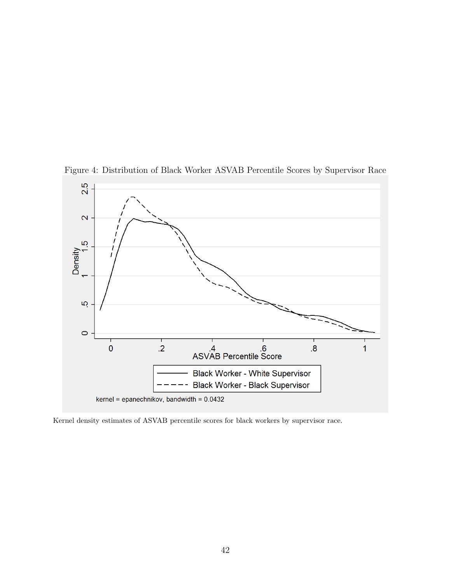

Figure 4: Distribution of Black Worker ASVAB Percentile Scores by Supervisor Race

Kernel density estimates of ASVAB percentile scores for black workers by supervisor race.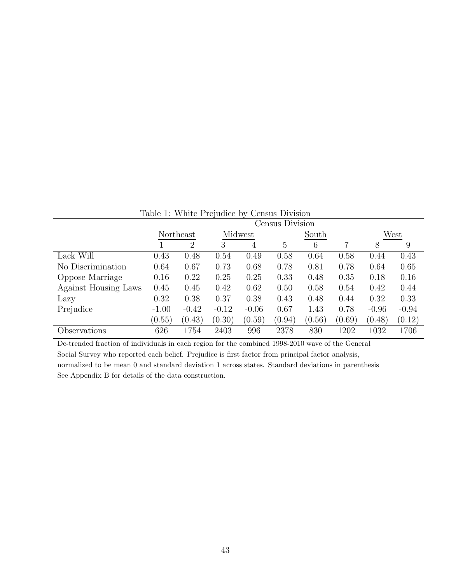| Table 1: White Prejudice by Census Division |           |                |         |         |                 |        |        |         |         |  |
|---------------------------------------------|-----------|----------------|---------|---------|-----------------|--------|--------|---------|---------|--|
|                                             |           |                |         |         | Census Division |        |        |         |         |  |
|                                             | Northeast |                |         | Midwest |                 | South  |        | West    |         |  |
|                                             |           | $\overline{2}$ | 3       | 4       | 5               | 6      |        | 8       | 9       |  |
| Lack Will                                   | 0.43      | 0.48           | 0.54    | 0.49    | 0.58            | 0.64   | 0.58   | 0.44    | 0.43    |  |
| No Discrimination                           | 0.64      | 0.67           | 0.73    | 0.68    | 0.78            | 0.81   | 0.78   | 0.64    | 0.65    |  |
| Oppose Marriage                             | 0.16      | 0.22           | 0.25    | 0.25    | 0.33            | 0.48   | 0.35   | 0.18    | 0.16    |  |
| Against Housing Laws                        | 0.45      | 0.45           | 0.42    | 0.62    | 0.50            | 0.58   | 0.54   | 0.42    | 0.44    |  |
| Lazy                                        | 0.32      | 0.38           | 0.37    | 0.38    | 0.43            | 0.48   | 0.44   | 0.32    | 0.33    |  |
| Prejudice                                   | $-1.00$   | $-0.42$        | $-0.12$ | $-0.06$ | 0.67            | 1.43   | 0.78   | $-0.96$ | $-0.94$ |  |
|                                             | (0.55)    | (0.43)         | (0.30)  | (0.59)  | (0.94)          | (0.56) | (0.69) | (0.48)  | (0.12)  |  |
| Observations                                | 626       | 1754           | 2403    | 996     | 2378            | 830    | 1202   | 1032    | 1706    |  |

Table 1: White Prejudice by Census Division

De-trended fraction of individuals in each region for the combined 1998-2010 wave of the General Social Survey who reported each belief. Prejudice is first factor from principal factor analysis, normalized to be mean 0 and standard deviation 1 across states. Standard deviations in parenthesis See Appendix B for details of the data construction.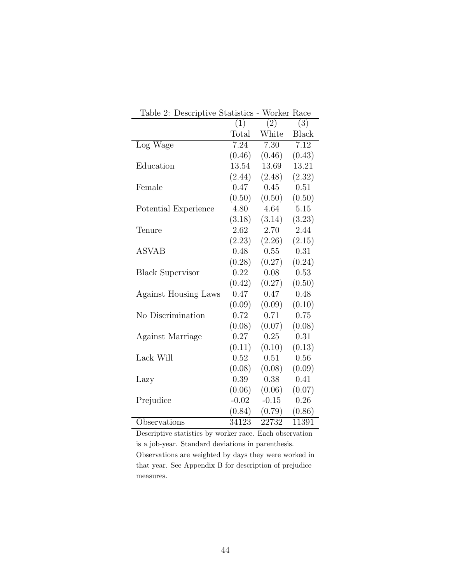| ⊥ധ്വ∪<br>. _<br>Deperthence negationed |         | <u>VOL IVOL</u> | 1 ian        |
|----------------------------------------|---------|-----------------|--------------|
|                                        | (1)     | (2)             | (3)          |
|                                        | Total   | White           | <b>Black</b> |
| Log Wage                               | 7.24    | 7.30            | 7.12         |
|                                        | (0.46)  | (0.46)          | (0.43)       |
| Education                              | 13.54   | 13.69           | 13.21        |
|                                        | (2.44)  | (2.48)          | (2.32)       |
| Female                                 | 0.47    | 0.45            | 0.51         |
|                                        | (0.50)  | (0.50)          | (0.50)       |
| Potential Experience                   | 4.80    | 4.64            | 5.15         |
|                                        | (3.18)  | (3.14)          | (3.23)       |
| Tenure                                 | 2.62    | 2.70            | 2.44         |
|                                        | (2.23)  | (2.26)          | (2.15)       |
| <b>ASVAB</b>                           | 0.48    | 0.55            | 0.31         |
|                                        | (0.28)  | (0.27)          | (0.24)       |
| <b>Black Supervisor</b>                | 0.22    | 0.08            | 0.53         |
|                                        | (0.42)  | (0.27)          | (0.50)       |
| <b>Against Housing Laws</b>            | 0.47    | 0.47            | 0.48         |
|                                        | (0.09)  | (0.09)          | (0.10)       |
| No Discrimination                      | 0.72    | 0.71            | 0.75         |
|                                        | (0.08)  | (0.07)          | (0.08)       |
| Against Marriage                       | 0.27    | 0.25            | 0.31         |
|                                        | (0.11)  | (0.10)          | (0.13)       |
| Lack Will                              | 0.52    | 0.51            | 0.56         |
|                                        | (0.08)  | (0.08)          | (0.09)       |
| Lazy                                   | 0.39    | 0.38            | 0.41         |
|                                        | (0.06)  | (0.06)          | (0.07)       |
| Prejudice                              | $-0.02$ | $-0.15$         | 0.26         |
|                                        | (0.84)  | (0.79)          | (0.86)       |
| Observations                           | 34123   | 22732           | 11391        |

Table 2: Descriptive Statistics - Worker Race

Descriptive statistics by worker race. Each observation is a job-year. Standard deviations in parenthesis. Observations are weighted by days they were worked in that year. See Appendix B for description of prejudice measures.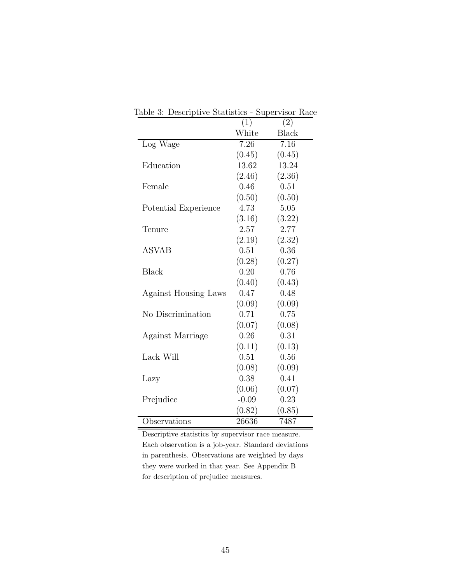|                      | $\overline{(1)}$ | (2)          |
|----------------------|------------------|--------------|
|                      | White            | <b>Black</b> |
| Log Wage             | 7.26             | 7.16         |
|                      | (0.45)           | (0.45)       |
| Education            | 13.62            | 13.24        |
|                      | (2.46)           | (2.36)       |
| Female               | 0.46             | 0.51         |
|                      | (0.50)           | (0.50)       |
| Potential Experience | 4.73             | 5.05         |
|                      | (3.16)           | (3.22)       |
| Tenure               | 2.57             | 2.77         |
|                      | (2.19)           | (2.32)       |
| <b>ASVAB</b>         | 0.51             | 0.36         |
|                      | (0.28)           | (0.27)       |
| Black                | 0.20             | 0.76         |
|                      | (0.40)           | (0.43)       |
| Against Housing Laws | 0.47             | 0.48         |
|                      | (0.09)           | (0.09)       |
| No Discrimination    | 0.71             | 0.75         |
|                      | (0.07)           | (0.08)       |
| Against Marriage     | 0.26             | 0.31         |
|                      | (0.11)           | (0.13)       |
| Lack Will            | 0.51             | 0.56         |
|                      | (0.08)           | (0.09)       |
| Lazy                 | 0.38             | 0.41         |
|                      | (0.06)           | (0.07)       |
| Prejudice            | $-0.09$          | 0.23         |
|                      | (0.82)           | (0.85)       |
| Observations         | 26636            | 7487         |

Table 3: Descriptive Statistics - Supervisor Race

Descriptive statistics by supervisor race measure. Each observation is a job-year. Standard deviations in parenthesis. Observations are weighted by days they were worked in that year. See Appendix B for description of prejudice measures.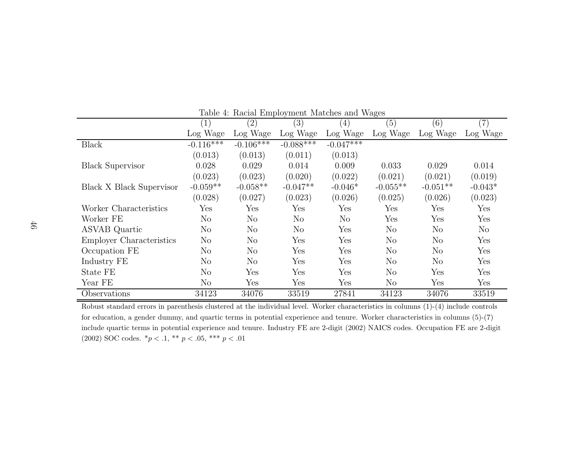|                                 | (1)            | (2)            | (3)            | $\left( 4\right)$ | (5)            | (6)                  | (7)       |
|---------------------------------|----------------|----------------|----------------|-------------------|----------------|----------------------|-----------|
|                                 | Log Wage       | Log Wage       | Log Wage       | Log Wage          | Log Wage       | Log Wage             | Log Wage  |
| <b>Black</b>                    | $-0.116***$    | $-0.106***$    | $-0.088***$    | $-0.047***$       |                |                      |           |
|                                 | (0.013)        | (0.013)        | (0.011)        | (0.013)           |                |                      |           |
| <b>Black Supervisor</b>         | 0.028          | 0.029          | 0.014          | 0.009             | 0.033          | 0.029                | 0.014     |
|                                 | (0.023)        | (0.023)        | (0.020)        | (0.022)           | (0.021)        | (0.021)              | (0.019)   |
| <b>Black X Black Supervisor</b> | $-0.059**$     | $-0.058**$     | $-0.047**$     | $-0.046*$         | $-0.055**$     | $-0.051**$           | $-0.043*$ |
|                                 | (0.028)        | (0.027)        | (0.023)        | (0.026)           | (0.025)        | (0.026)              | (0.023)   |
| Worker Characteristics          | Yes            | Yes            | Yes            | Yes               | Yes            | Yes                  | Yes       |
| Worker FE                       | N <sub>o</sub> | N <sub>o</sub> | $\rm No$       | $\rm No$          | Yes            | Yes                  | Yes       |
| <b>ASVAB</b> Quartic            | N <sub>o</sub> | N <sub>o</sub> | N <sub>o</sub> | Yes               | N <sub>o</sub> | $\rm No$             | $\rm No$  |
| <b>Employer Characteristics</b> | $\rm No$       | $\rm No$       | Yes            | Yes               | $\rm No$       | $\rm No$             | Yes       |
| Occupation FE                   | No             | No             | Yes            | Yes               | $\rm No$       | N <sub>o</sub>       | Yes       |
| Industry FE                     | $\rm No$       | $\rm No$       | Yes            | Yes               | N <sub>o</sub> | N <sub>o</sub>       | Yes       |
| State FE                        | $\rm No$       | Yes            | Yes            | Yes               | $\rm No$       | Yes                  | Yes       |
| Year FE                         | N <sub>o</sub> | Yes            | Yes            | Yes               | $\rm No$       | $\operatorname{Yes}$ | Yes       |
| Observations                    | 34123          | 34076          | 33519          | 27841             | 34123          | 34076                | 33519     |

Table 4: Racial Employment Matches and Wages

Robust standard errors in parenthesis clustered at the individual level. Worker characteristics in columns (1)-(4) include controls for education, <sup>a</sup> gender dummy, and quartic terms in potential experience and tenure. Worker characteristics in columns (5)-(7) include quartic terms in potential experience and tenure. Industry FE are 2-digit (2002) NAICS codes. Occupation FE are 2-digit (2002) SOC codes.  $^*p<.1,$   $^{**}p<.05,$   $^{***}p<.01$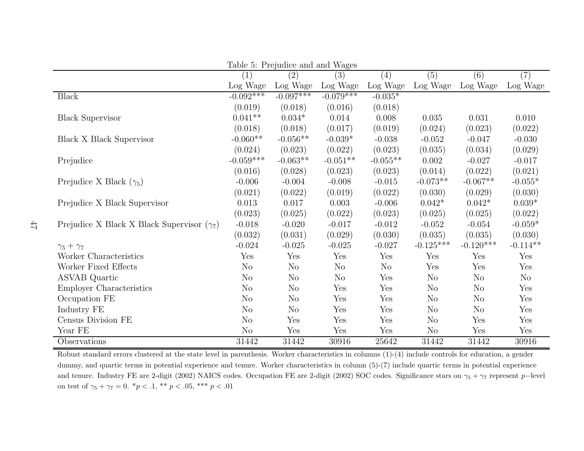| Table 5: Prejudice and and Wages                  |                |                |             |                |                |                |            |  |  |  |  |
|---------------------------------------------------|----------------|----------------|-------------|----------------|----------------|----------------|------------|--|--|--|--|
|                                                   | (1)            | (2)            | (3)         | (4)            | (5)            | (6)            | (7)        |  |  |  |  |
|                                                   | Log Wage       | Log Wage       | Log Wage    | Log Wage       | Log Wage       | Log Wage       | Log Wage   |  |  |  |  |
| <b>Black</b>                                      | $-0.092***$    | $-0.097***$    | $-0.079***$ | $-0.035*$      |                |                |            |  |  |  |  |
|                                                   | (0.019)        | (0.018)        | (0.016)     | (0.018)        |                |                |            |  |  |  |  |
| <b>Black Supervisor</b>                           | $0.041**$      | $0.034*$       | 0.014       | 0.008          | 0.035          | 0.031          | 0.010      |  |  |  |  |
|                                                   | (0.018)        | (0.018)        | (0.017)     | (0.019)        | (0.024)        | (0.023)        | (0.022)    |  |  |  |  |
| Black X Black Supervisor                          | $-0.060**$     | $-0.056**$     | $-0.039*$   | $-0.038$       | $-0.052$       | $-0.047$       | $-0.030$   |  |  |  |  |
|                                                   | (0.024)        | (0.023)        | (0.022)     | (0.023)        | (0.035)        | (0.034)        | (0.029)    |  |  |  |  |
| Prejudice                                         | $-0.059***$    | $-0.063**$     | $-0.051**$  | $-0.055**$     | 0.002          | $-0.027$       | $-0.017$   |  |  |  |  |
|                                                   | (0.016)        | (0.028)        | (0.023)     | (0.023)        | (0.014)        | (0.022)        | (0.021)    |  |  |  |  |
| Prejudice X Black $(\gamma_5)$                    | $-0.006$       | $-0.004$       | $-0.008$    | $-0.015$       | $-0.073**$     | $-0.067**$     | $-0.055*$  |  |  |  |  |
|                                                   | (0.021)        | (0.022)        | (0.019)     | (0.022)        | (0.030)        | (0.029)        | (0.030)    |  |  |  |  |
| Prejudice X Black Supervisor                      | 0.013          | 0.017          | 0.003       | $-0.006$       | $0.042*$       | $0.042*$       | $0.039*$   |  |  |  |  |
|                                                   | (0.023)        | (0.025)        | (0.022)     | (0.023)        | (0.025)        | (0.025)        | (0.022)    |  |  |  |  |
| Prejudice X Black X Black Supervisor $(\gamma_7)$ | $-0.018$       | $-0.020$       | $-0.017$    | $-0.012$       | $-0.052$       | $-0.054$       | $-0.059*$  |  |  |  |  |
|                                                   | (0.032)        | (0.031)        | (0.029)     | (0.030)        | (0.035)        | (0.035)        | (0.030)    |  |  |  |  |
| $\gamma_5+\gamma_7$                               | $-0.024$       | $-0.025$       | $-0.025$    | $-0.027$       | $-0.125***$    | $-0.120***$    | $-0.114**$ |  |  |  |  |
| Worker Characteristics                            | Yes            | Yes            | Yes         | Yes            | Yes            | Yes            | Yes        |  |  |  |  |
| Worker Fixed Effects                              | N <sub>o</sub> | $\rm No$       | $\rm No$    | N <sub>o</sub> | Yes            | Yes            | Yes        |  |  |  |  |
| <b>ASVAB</b> Quartic                              | N <sub>o</sub> | $\rm No$       | $\rm No$    | Yes            | $\rm No$       | N <sub>o</sub> | $\rm No$   |  |  |  |  |
| <b>Employer Characteristics</b>                   | N <sub>o</sub> | $\rm No$       | Yes         | Yes            | $\rm No$       | N <sub>o</sub> | Yes        |  |  |  |  |
| Occupation FE                                     | N <sub>o</sub> | $\rm No$       | Yes         | Yes            | $\rm No$       | $\rm No$       | Yes        |  |  |  |  |
| Industry FE                                       | N <sub>o</sub> | N <sub>o</sub> | Yes         | Yes            | N <sub>o</sub> | N <sub>o</sub> | Yes        |  |  |  |  |
| Census Division FE                                | N <sub>o</sub> | Yes            | Yes         | Yes            | N <sub>o</sub> | Yes            | Yes        |  |  |  |  |
| Year FE                                           | $\rm No$       | Yes            | Yes         | Yes            | $\rm No$       | Yes            | Yes        |  |  |  |  |
| Observations                                      | 31442          | 31442          | 30916       | 25642          | 31442          | 31442          | 30916      |  |  |  |  |

47

Robust standard errors clustered at the state level in parenthesis. Worker characteristics in columns (1)-(4) include controls for education, <sup>a</sup> gender dummy, and quartic terms in potential experience and tenure. Worker characteristics in column (5)-(7) include quartic terms in potential experience and tenure. Industry FE are 2-digit (2002) NAICS codes. Occupation FE are 2-digit (2002) SOC codes. Significance stars on  $\gamma_5 + \gamma_7$  represent p−level on test of  $\gamma_5 + \gamma_7 = 0$ .  $^*p < .1$ ,  $^{**}p < .05$ ,  $^{***}p < .01$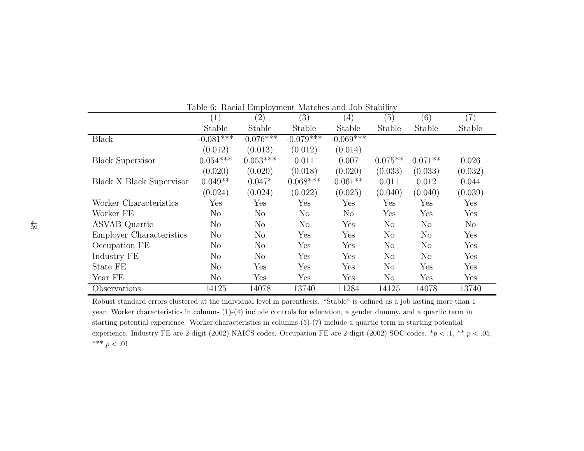|                                 | $\left(1\right)$ | $\left( 2\right)$ | (3)            | (4)            | (5)       | (6)            | $\left( 7\right)$ |
|---------------------------------|------------------|-------------------|----------------|----------------|-----------|----------------|-------------------|
|                                 | Stable           | Stable            | Stable         | Stable         | Stable    | Stable         | Stable            |
| <b>Black</b>                    | $-0.081$ ***     | $-0.076***$       | $-0.079***$    | $-0.069***$    |           |                |                   |
|                                 | (0.012)          | (0.013)           | (0.012)        | (0.014)        |           |                |                   |
| <b>Black Supervisor</b>         | $0.054***$       | $0.053***$        | 0.011          | 0.007          | $0.075**$ | $0.071**$      | 0.026             |
|                                 | (0.020)          | (0.020)           | (0.018)        | (0.020)        | (0.033)   | (0.033)        | (0.032)           |
| Black X Black Supervisor        | $0.049**$        | $0.047*$          | $0.068***$     | $0.061**$      | 0.011     | 0.012          | 0.044             |
|                                 | (0.024)          | (0.024)           | (0.022)        | (0.025)        | (0.040)   | (0.040)        | (0.039)           |
| Worker Characteristics          | Yes              | Yes               | Yes            | Yes            | Yes       | Yes            | Yes               |
| Worker FE                       | $\rm No$         | N <sub>o</sub>    | N <sub>o</sub> | N <sub>o</sub> | Yes       | Yes            | Yes               |
| <b>ASVAB</b> Quartic            | $\rm No$         | N <sub>o</sub>    | $\rm No$       | Yes            | $\rm No$  | N <sub>o</sub> | $\rm No$          |
| <b>Employer Characteristics</b> | $\rm No$         | N <sub>o</sub>    | Yes            | Yes            | $\rm No$  | $\rm No$       | Yes               |
| Occupation FE                   | $\rm No$         | N <sub>o</sub>    | Yes            | Yes            | No        | $\rm No$       | Yes               |
| Industry FE                     | $\rm No$         | N <sub>o</sub>    | Yes            | Yes            | No        | $\rm No$       | Yes               |
| State FE                        | $\rm No$         | Yes               | Yes            | Yes            | $\rm No$  | Yes            | Yes               |
| Year FE                         | $\rm No$         | Yes               | Yes            | Yes            | $\rm No$  | Yes            | Yes               |
| Observations                    | 14125            | 14078             | 13740          | 11284          | 14125     | 14078          | 13740             |

Table 6: Racial Employment Matches and Job Stability

Robust standard errors clustered at the individual level in parenthesis. "Stable" is defined as <sup>a</sup> job lasting more than <sup>1</sup> year. Worker characteristics in columns (1)-(4) include controls for education, <sup>a</sup> gender dummy, and <sup>a</sup> quartic term instarting potential experience. Worker characteristics in columns (5)-(7) include <sup>a</sup> quartic term in starting potential experience. Industry FE are 2-digit (2002) NAICS codes. Occupation FE are 2-digit (2002) SOC codes.  $*p < .1, **p < .05,$ \*\*\*  $p < .01$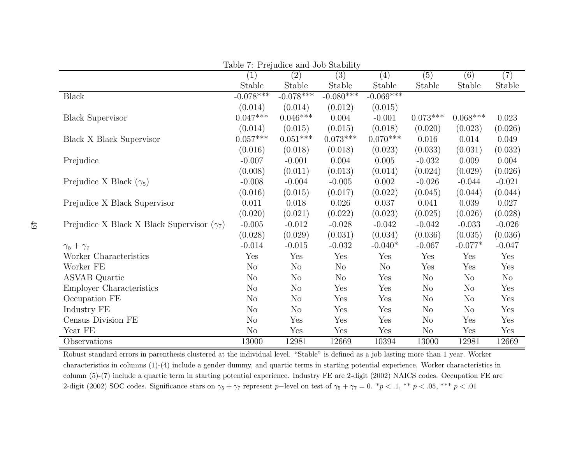|                                                   | Table <i>(: Prejudice and Job Stability</i> |                |                |                |                |            |          |
|---------------------------------------------------|---------------------------------------------|----------------|----------------|----------------|----------------|------------|----------|
|                                                   | $\left(1\right)$                            | (2)            | (3)            | (4)            | (5)            | (6)        | (7)      |
|                                                   | Stable                                      | Stable         | Stable         | Stable         | Stable         | Stable     | Stable   |
| <b>Black</b>                                      | $-0.078***$                                 | $-0.078***$    | $-0.080***$    | $-0.069***$    |                |            |          |
|                                                   | (0.014)                                     | (0.014)        | (0.012)        | (0.015)        |                |            |          |
| <b>Black Supervisor</b>                           | $0.047***$                                  | $0.046***$     | 0.004          | $-0.001$       | $0.073***$     | $0.068***$ | 0.023    |
|                                                   | (0.014)                                     | (0.015)        | (0.015)        | (0.018)        | (0.020)        | (0.023)    | (0.026)  |
| <b>Black X Black Supervisor</b>                   | $0.057***$                                  | $0.051***$     | $0.073***$     | $0.070***$     | 0.016          | 0.014      | 0.049    |
|                                                   | (0.016)                                     | (0.018)        | (0.018)        | (0.023)        | (0.033)        | (0.031)    | (0.032)  |
| Prejudice                                         | $-0.007$                                    | $-0.001$       | 0.004          | 0.005          | $-0.032$       | 0.009      | 0.004    |
|                                                   | (0.008)                                     | (0.011)        | (0.013)        | (0.014)        | (0.024)        | (0.029)    | (0.026)  |
| Prejudice X Black $(\gamma_5)$                    | $-0.008$                                    | $-0.004$       | $-0.005$       | 0.002          | $-0.026$       | $-0.044$   | $-0.021$ |
|                                                   | (0.016)                                     | (0.015)        | (0.017)        | (0.022)        | (0.045)        | (0.044)    | (0.044)  |
| Prejudice X Black Supervisor                      | 0.011                                       | 0.018          | 0.026          | 0.037          | 0.041          | 0.039      | 0.027    |
|                                                   | (0.020)                                     | (0.021)        | (0.022)        | (0.023)        | (0.025)        | (0.026)    | (0.028)  |
| Prejudice X Black X Black Supervisor $(\gamma_7)$ | $-0.005$                                    | $-0.012$       | $-0.028$       | $-0.042$       | $-0.042$       | $-0.033$   | $-0.026$ |
|                                                   | (0.028)                                     | (0.029)        | (0.031)        | (0.034)        | (0.036)        | (0.035)    | (0.036)  |
| $\gamma_5+\gamma_7$                               | $-0.014$                                    | $-0.015$       | $-0.032$       | $-0.040*$      | $-0.067$       | $-0.077*$  | $-0.047$ |
| Worker Characteristics                            | Yes                                         | Yes            | Yes            | Yes            | Yes            | Yes        | Yes      |
| Worker FE                                         | N <sub>o</sub>                              | N <sub>o</sub> | N <sub>o</sub> | N <sub>o</sub> | Yes            | Yes        | Yes      |
| <b>ASVAB</b> Quartic                              | N <sub>o</sub>                              | N <sub>o</sub> | $\rm No$       | Yes            | $\rm No$       | $\rm No$   | $\rm No$ |
| <b>Employer Characteristics</b>                   | N <sub>o</sub>                              | No             | Yes            | Yes            | N <sub>o</sub> | $\rm No$   | Yes      |
| Occupation FE                                     | No                                          | N <sub>o</sub> | Yes            | Yes            | $\rm No$       | $\rm No$   | Yes      |
| Industry FE                                       | N <sub>o</sub>                              | N <sub>o</sub> | Yes            | Yes            | $\rm No$       | $\rm No$   | Yes      |
| Census Division FE                                | N <sub>o</sub>                              | Yes            | Yes            | Yes            | N <sub>o</sub> | Yes        | Yes      |
| Year FE                                           | N <sub>o</sub>                              | Yes            | Yes            | Yes            | $\rm No$       | Yes        | Yes      |
| Observations                                      | 13000                                       | 12981          | 12669          | 10394          | 13000          | 12981      | 12669    |

 $T<sub>1</sub>$ :  $T<sub>2</sub>$   $T<sub>3</sub>$   $T<sub>4</sub>$   $T<sub>5</sub>$   $T<sub>6</sub>$   $T<sub>7</sub>$   $T<sub>8</sub>$ 

Robust standard errors in parenthesis clustered at the individual level. "Stable" is defined as <sup>a</sup> job lasting more than <sup>1</sup> year. Worker characteristics in columns (1)-(4) include <sup>a</sup> gender dummy, and quartic terms in starting potential experience. Worker characteristics in column (5)-(7) include <sup>a</sup> quartic term in starting potential experience. Industry FE are 2-digit (2002) NAICS codes. Occupation FE are 2-digit (2002) SOC codes. Significance stars on  $\gamma_5 + \gamma_7$  represent p−level on test of  $\gamma_5 + \gamma_7 = 0$ .  $*p < .1, **p < .05, **p < .01$ 

49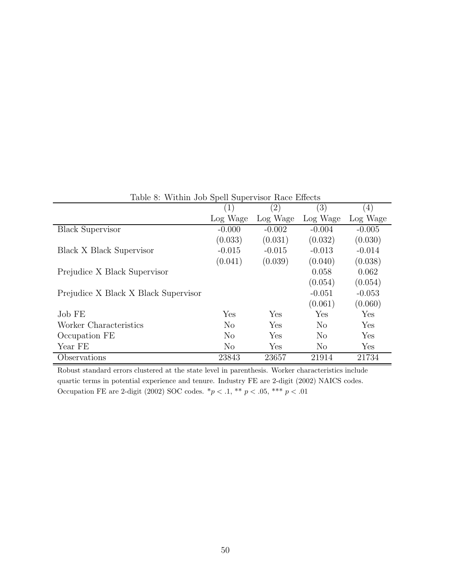| Table 8: WILLIIII JOD Spell Supervisor Race Effects |                  |                   |          |                  |  |  |  |  |  |
|-----------------------------------------------------|------------------|-------------------|----------|------------------|--|--|--|--|--|
|                                                     | $\left(1\right)$ | $\left( 2\right)$ | (3)      | $\left(4\right)$ |  |  |  |  |  |
|                                                     | Log Wage         | Log Wage          | Log Wage | Log Wage         |  |  |  |  |  |
| <b>Black Supervisor</b>                             | $-0.000$         | $-0.002$          | $-0.004$ | $-0.005$         |  |  |  |  |  |
|                                                     | (0.033)          | (0.031)           | (0.032)  | (0.030)          |  |  |  |  |  |
| <b>Black X Black Supervisor</b>                     | $-0.015$         | $-0.015$          | $-0.013$ | $-0.014$         |  |  |  |  |  |
|                                                     | (0.041)          | (0.039)           | (0.040)  | (0.038)          |  |  |  |  |  |
| Prejudice X Black Supervisor                        |                  |                   | 0.058    | 0.062            |  |  |  |  |  |
|                                                     |                  |                   | (0.054)  | (0.054)          |  |  |  |  |  |
| Prejudice X Black X Black Supervisor                |                  |                   | $-0.051$ | $-0.053$         |  |  |  |  |  |
|                                                     |                  |                   | (0.061)  | (0.060)          |  |  |  |  |  |
| Job FE                                              | Yes              | Yes               | Yes      | Yes              |  |  |  |  |  |
| Worker Characteristics                              | $\rm No$         | Yes               | $\rm No$ | Yes              |  |  |  |  |  |
| Occupation FE                                       | $\rm No$         | Yes               | $\rm No$ | Yes              |  |  |  |  |  |
| Year FE                                             | $\rm No$         | Yes               | No       | Yes              |  |  |  |  |  |
| Observations                                        | 23843            | 23657             | 21914    | 21734            |  |  |  |  |  |

Table 8: Within Job Spell Supervisor Race Effect

Robust standard errors clustered at the state level in parenthesis. Worker characteristics include quartic terms in potential experience and tenure. Industry FE are 2-digit (2002) NAICS codes. Occupation FE are 2-digit (2002) SOC codes.  $\binom{*}{} p < .1, \,\, \binom{*}{} p < .05, \,\, \binom{*}{} * p < .01$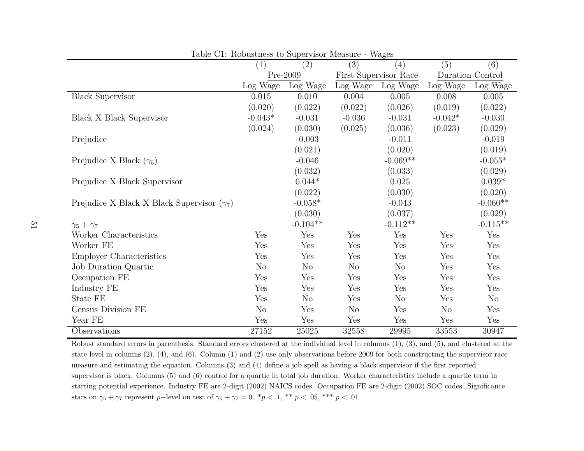|                                                   | (1)       | (2)            | (3)            | (4)                   | (5)              | (6)        |
|---------------------------------------------------|-----------|----------------|----------------|-----------------------|------------------|------------|
|                                                   |           | Pre-2009       |                | First Supervisor Race | Duration Control |            |
|                                                   | Log Wage  | Log Wage       | Log Wage       | Log Wage              | Log Wage         | Log Wage   |
| <b>Black Supervisor</b>                           | $0.015\,$ | 0.010          | 0.004          | 0.005                 | 0.008            | $0.005\,$  |
|                                                   | (0.020)   | (0.022)        | (0.022)        | (0.026)               | (0.019)          | (0.022)    |
| Black X Black Supervisor                          | $-0.043*$ | $-0.031$       | $-0.036$       | $-0.031$              | $-0.042*$        | $-0.030$   |
|                                                   | (0.024)   | (0.030)        | (0.025)        | (0.036)               | (0.023)          | (0.029)    |
| Prejudice                                         |           | $-0.003$       |                | $-0.011$              |                  | $-0.019$   |
|                                                   |           | (0.021)        |                | (0.020)               |                  | (0.019)    |
| Prejudice X Black $(\gamma_5)$                    |           | $-0.046$       |                | $-0.069**$            |                  | $-0.055*$  |
|                                                   |           | (0.032)        |                | (0.033)               |                  | (0.029)    |
| Prejudice X Black Supervisor                      |           | $0.044*$       |                | 0.025                 |                  | $0.039*$   |
|                                                   |           | (0.022)        |                | (0.030)               |                  | (0.020)    |
| Prejudice X Black X Black Supervisor $(\gamma_7)$ |           | $-0.058*$      |                | $-0.043$              |                  | $-0.060**$ |
|                                                   |           | (0.030)        |                | (0.037)               |                  | (0.029)    |
| $\gamma_5+\gamma_7$                               |           | $-0.104**$     |                | $-0.112**$            |                  | $-0.115**$ |
| Worker Characteristics                            | Yes       | Yes            | Yes            | Yes                   | Yes              | Yes        |
| Worker FE                                         | Yes       | Yes            | Yes            | Yes                   | Yes              | Yes        |
| <b>Employer Characteristics</b>                   | Yes       | Yes            | Yes            | Yes                   | Yes              | Yes        |
| Job Duration Quartic                              | No        | N <sub>o</sub> | N <sub>o</sub> | N <sub>o</sub>        | Yes              | Yes        |
| Occupation FE                                     | Yes       | Yes            | Yes            | Yes                   | Yes              | Yes        |
| Industry FE                                       | Yes       | Yes            | Yes            | Yes                   | Yes              | Yes        |
| State FE                                          | Yes       | N <sub>o</sub> | Yes            | N <sub>o</sub>        | Yes              | No         |
| Census Division FE                                | $\rm No$  | Yes            | N <sub>o</sub> | Yes                   | N <sub>o</sub>   | Yes        |
| Year FE                                           | Yes       | Yes            | Yes            | Yes                   | Yes              | Yes        |
| Observations                                      | 27152     | 25025          | 32558          | 29995                 | 33553            | 30947      |

Table C1: Robustness to Supervisor Measure - Wages

Robust standard errors in parenthesis. Standard errors clustered at the individual level in columns (1), (3), and (5), and clustered at the state level in columns (2), (4), and (6). Column (1) and (2) use only observations before <sup>2009</sup> for both constructing the supervisor race measure and estimating the equation. Columns (3) and (4) define <sup>a</sup> job spell as having <sup>a</sup> black supervisor if the first reported supervisor is black. Columns (5) and (6) control for <sup>a</sup> quartic in total job duration. Worker characteristics include <sup>a</sup> quartic term in starting potential experience. Industry FE are 2-digit (2002) NAICS codes. Occupation FE are 2-digit (2002) SOC codes. Significance stars on  $\gamma_5 + \gamma_7$  represent p−level on test of  $\gamma_5 + \gamma_7 = 0$ .  $^*p < .1$ ,  $^{**}p < .05$ ,  $^{***}p < .01$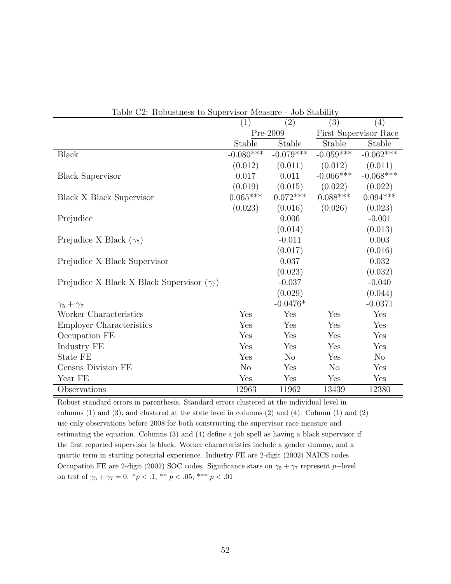| $\frac{1}{2}$ and $\frac{1}{2}$ . The properties to puper visor intersure<br>vop praprire |                |                   |                |                       |  |  |  |  |  |
|-------------------------------------------------------------------------------------------|----------------|-------------------|----------------|-----------------------|--|--|--|--|--|
|                                                                                           | (1)            | $\left( 2\right)$ | (3)            | $\left( 4\right)$     |  |  |  |  |  |
|                                                                                           |                | Pre-2009          |                | First Supervisor Race |  |  |  |  |  |
|                                                                                           | Stable         | Stable            | Stable         | Stable                |  |  |  |  |  |
| <b>Black</b>                                                                              | $-0.080***$    | $-0.079***$       | $-0.059***$    | $-0.062***$           |  |  |  |  |  |
|                                                                                           | (0.012)        | (0.011)           | (0.012)        | (0.011)               |  |  |  |  |  |
| <b>Black Supervisor</b>                                                                   | 0.017          | 0.011             | $-0.066***$    | $-0.068***$           |  |  |  |  |  |
|                                                                                           | (0.019)        | (0.015)           | (0.022)        | (0.022)               |  |  |  |  |  |
| Black X Black Supervisor                                                                  | $0.065***$     | $0.072***$        | $0.088***$     | $0.094***$            |  |  |  |  |  |
|                                                                                           | (0.023)        | (0.016)           | (0.026)        | (0.023)               |  |  |  |  |  |
| Prejudice                                                                                 |                | 0.006             |                | $-0.001$              |  |  |  |  |  |
|                                                                                           |                | (0.014)           |                | (0.013)               |  |  |  |  |  |
| Prejudice X Black $(\gamma_5)$                                                            |                | $-0.011$          |                | 0.003                 |  |  |  |  |  |
|                                                                                           |                | (0.017)           |                | (0.016)               |  |  |  |  |  |
| Prejudice X Black Supervisor                                                              |                | 0.037             |                | 0.032                 |  |  |  |  |  |
|                                                                                           |                | (0.023)           |                | (0.032)               |  |  |  |  |  |
| Prejudice X Black X Black Supervisor $(\gamma_7)$                                         |                | $-0.037$          |                | $-0.040$              |  |  |  |  |  |
|                                                                                           |                | (0.029)           |                | (0.044)               |  |  |  |  |  |
| $\gamma_5+\gamma_7$                                                                       |                | $-0.0476*$        |                | $-0.0371$             |  |  |  |  |  |
| Worker Characteristics                                                                    | Yes            | Yes               | Yes            | Yes                   |  |  |  |  |  |
| <b>Employer Characteristics</b>                                                           | Yes            | Yes               | Yes            | Yes                   |  |  |  |  |  |
| Occupation FE                                                                             | Yes            | Yes               | Yes            | Yes                   |  |  |  |  |  |
| Industry FE                                                                               | Yes            | Yes               | Yes            | Yes                   |  |  |  |  |  |
| State FE                                                                                  | Yes            | N <sub>o</sub>    | Yes            | N <sub>o</sub>        |  |  |  |  |  |
| Census Division FE                                                                        | N <sub>o</sub> | Yes               | N <sub>o</sub> | Yes                   |  |  |  |  |  |
| Year FE                                                                                   | Yes            | Yes               | Yes            | Yes                   |  |  |  |  |  |
| Observations                                                                              | 12963          | 11962             | 13439          | 12380                 |  |  |  |  |  |

Table C2: Robustness to Supervisor Measure - Job Stability

Robust standard errors in parenthesis. Standard errors clustered at the individual level in columns (1) and (3), and clustered at the state level in columns (2) and (4). Column (1) and (2) use only observations before 2008 for both constructing the supervisor race measure and estimating the equation. Columns (3) and (4) define a job spell as having a black supervisor if the first reported supervisor is black. Worker characteristics include a gender dummy, and a quartic term in starting potential experience. Industry FE are 2-digit (2002) NAICS codes. Occupation FE are 2-digit (2002) SOC codes. Significance stars on  $\gamma_5 + \gamma_7$  represent p−level on test of  $\gamma_5 + \gamma_7 = 0$ .  $^*p < .1$ ,  $^{**}p < .05$ ,  $^{***}p < .01$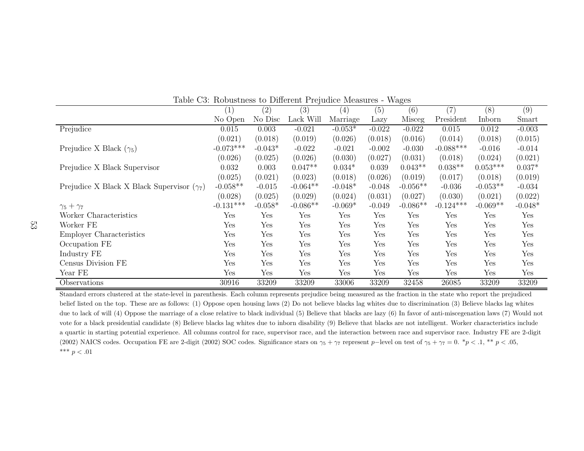|                                                   | $\left(1\right)$     | (2)                  | (3)        | $\left( 4\right)$ | (5)      | (6)        | (7)         | (8)        | (9)       |
|---------------------------------------------------|----------------------|----------------------|------------|-------------------|----------|------------|-------------|------------|-----------|
|                                                   | No Open              | No Disc              | Lack Will  | Marriage          | Lazy     | Misceg     | President   | Inborn     | Smart     |
| Prejudice                                         | 0.015                | 0.003                | $-0.021$   | $-0.053*$         | $-0.022$ | $-0.022$   | 0.015       | 0.012      | $-0.003$  |
|                                                   | (0.021)              | (0.018)              | (0.019)    | (0.026)           | (0.018)  | (0.016)    | (0.014)     | (0.018)    | (0.015)   |
| Prejudice X Black $(\gamma_5)$                    | $-0.073***$          | $-0.043*$            | $-0.022$   | $-0.021$          | $-0.002$ | $-0.030$   | $-0.088***$ | $-0.016$   | $-0.014$  |
|                                                   | (0.026)              | (0.025)              | (0.026)    | (0.030)           | (0.027)  | (0.031)    | (0.018)     | (0.024)    | (0.021)   |
| Prejudice X Black Supervisor                      | 0.032                | 0.003                | $0.047**$  | $0.034*$          | 0.039    | $0.043**$  | $0.038**$   | $0.053***$ | $0.037*$  |
|                                                   | (0.025)              | (0.021)              | (0.023)    | (0.018)           | (0.026)  | (0.019)    | (0.017)     | (0.018)    | (0.019)   |
| Prejudice X Black X Black Supervisor $(\gamma_7)$ | $-0.058**$           | $-0.015$             | $-0.064**$ | $-0.048*$         | $-0.048$ | $-0.056**$ | $-0.036$    | $-0.053**$ | $-0.034$  |
|                                                   | (0.028)              | (0.025)              | (0.029)    | (0.024)           | (0.031)  | (0.027)    | (0.030)     | (0.021)    | (0.022)   |
| $\gamma_5+\gamma_7$                               | $-0.131***$          | $-0.058*$            | $-0.086**$ | $-0.069*$         | $-0.049$ | $-0.086**$ | $-0.124***$ | $-0.069**$ | $-0.048*$ |
| Worker Characteristics                            | Yes                  | Yes                  | Yes        | Yes               | Yes      | Yes        | Yes         | Yes        | Yes       |
| Worker FE                                         | Yes                  | Yes                  | Yes        | Yes               | Yes      | Yes        | Yes         | Yes        | Yes       |
| Employer Characteristics                          | Yes                  | Yes                  | Yes        | Yes               | Yes      | Yes        | Yes         | Yes        | Yes       |
| Occupation FE                                     | Yes                  | Yes                  | Yes        | Yes               | Yes      | Yes        | Yes         | Yes        | Yes       |
| Industry FE                                       | Yes                  | Yes                  | Yes        | Yes               | Yes      | Yes        | Yes         | Yes        | Yes       |
| Census Division FE                                | Yes                  | Yes                  | Yes        | Yes               | Yes      | Yes        | Yes         | Yes        | Yes       |
| Year FE                                           | $\operatorname{Yes}$ | $\operatorname{Yes}$ | Yes        | Yes               | Yes      | Yes        | Yes         | Yes        | Yes       |
| Observations                                      | 30916                | 33209                | 33209      | 33006             | 33209    | 32458      | 26085       | 33209      | 33209     |

Table C3: Robustness to Different Prejudice Measures - Wages

Standard errors clustered at the state-level in parenthesis. Each column represents prejudice being measured as the fraction in the state who report the prejudiced belief listed on the top. These are as follows: (1) Oppose open housing laws (2) Do not believe blacks lag whites due to discrimination (3) Believe blacks lag whites due to lack of will (4) Oppose the marriage of a close relative to black individual (5) Believe that blacks are lazy (6) In favor of anti-miscegenation laws (7) Would not vote for <sup>a</sup> black presidential candidate (8) Believe blacks lag whites due to inborn disability (9) Believe that blacks are not intelligent. Worker characteristics include <sup>a</sup> quartic in starting potential experience. All columns control for race, supervisor race, and the interaction between race and supervisor race. Industry FE are 2-digit (2002) NAICS codes. Occupation FE are 2-digit (2002) SOC codes. Significance stars on  $\gamma_5 + \gamma_7$  represent p-level on test of  $\gamma_5 + \gamma_7 = 0$ .  $*p < .1, ** p < .05$ , \*\*\*  $p < .01$